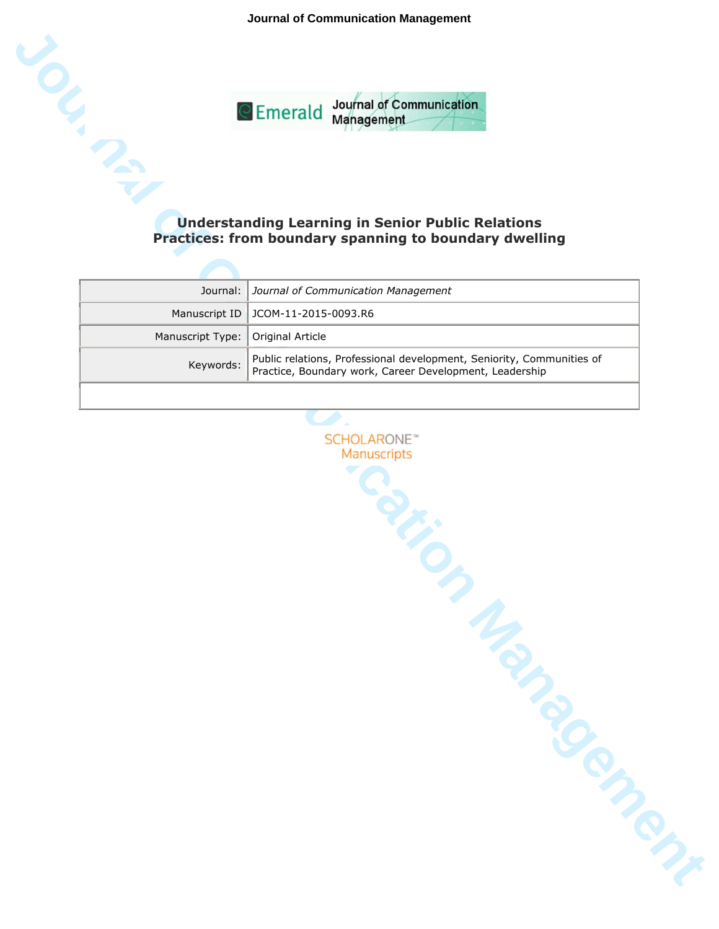**Journal of Communication Management**



# **Understanding Learning in Senior Public Relations Practices: from boundary spanning to boundary dwelling**

|                                     | Journal:   Journal of Communication Management                                                                                               |
|-------------------------------------|----------------------------------------------------------------------------------------------------------------------------------------------|
|                                     | Manuscript ID   JCOM-11-2015-0093.R6                                                                                                         |
| Manuscript Type:   Original Article |                                                                                                                                              |
|                                     | Public relations, Professional development, Seniority, Communities of<br>Keywords:   Practice, Boundary work, Career Development, Leadership |
|                                     |                                                                                                                                              |

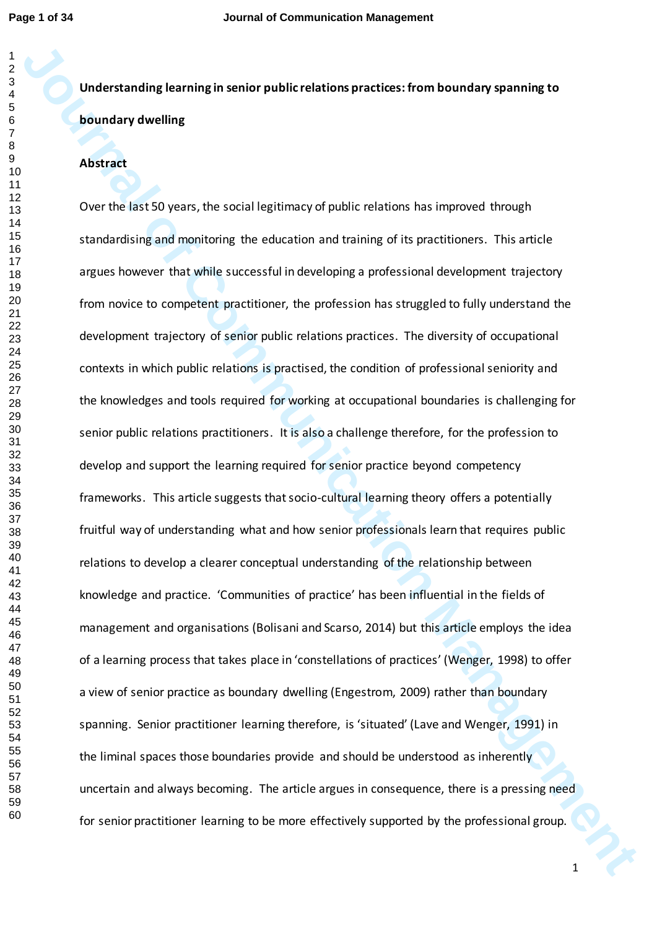# **Understanding learning in senior public relations practices: from boundary spanning to boundary dwelling**

## **Abstract**

Understanding learning in senior public relations practices: from boundary spanning to<br>boundary dwelling<br>Abstract<br>Abstract<br>Over the less 50 years, the social legitimacy of public relations has improved through<br>standards in Over the last 50 years, the social legitimacy of public relations has improved through standardising and monitoring the education and training of its practitioners. This article argues however that while successful in developing a professional development trajectory from novice to competent practitioner, the profession has struggled to fully understand the development trajectory of senior public relations practices. The diversity of occupational contexts in which public relations is practised, the condition of professional seniority and the knowledges and tools required for working at occupational boundaries is challenging for senior public relations practitioners. It is also a challenge therefore, for the profession to develop and support the learning required for senior practice beyond competency frameworks. This article suggests that socio-cultural learning theory offers a potentially fruitful way of understanding what and how senior professionals learn that requires public relations to develop a clearer conceptual understanding of the relationship between knowledge and practice. 'Communities of practice' has been influential in the fields of management and organisations (Bolisani and Scarso, 2014) but this article employs the idea of a learning process that takes place in 'constellations of practices' (Wenger, 1998) to offer a view of senior practice as boundary dwelling (Engestrom, 2009) rather than boundary spanning. Senior practitioner learning therefore, is 'situated' (Lave and Wenger, 1991) in the liminal spaces those boundaries provide and should be understood as inherently uncertain and always becoming. The article argues in consequence, there is a pressing need for senior practitioner learning to be more effectively supported by the professional group.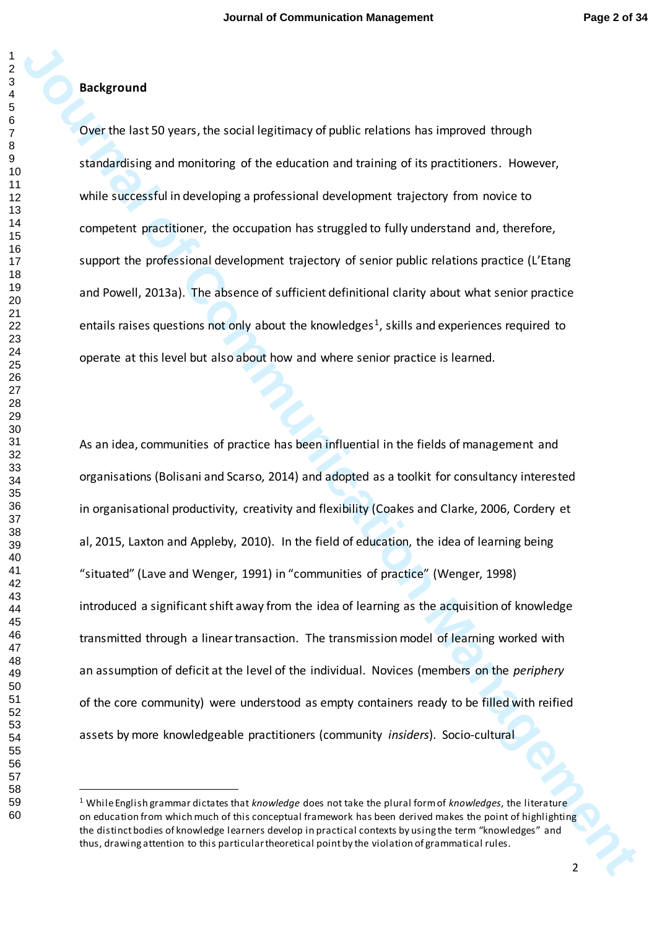# **Background**

Over the last 50 years, the social legitimacy of public relations has improved through standardising and monitoring of the education and training of its practitioners. However, while successful in developing a professional development trajectory from novice to competent practitioner, the occupation has struggled to fully understand and, therefore, support the professional development trajectory of senior public relations practice (L'Etang and Powell, 2013a). The absence of sufficient definitional clarity about what senior practice entails raises questions not only about the knowledges<sup>1</sup>, skills and experiences required to operate at this level but also about how and where senior practice is learned.

**Background**<br>
Dow the last 50 years, the social legitimacy of public relations has incoroned through<br>
1.timid.elising and monitoring of the education and training of its practitiones. However,<br>
seinter successful in develo As an idea, communities of practice has been influential in the fields of management and organisations (Bolisani and Scarso, 2014) and adopted as a toolkit for consultancy interested in organisational productivity, creativity and flexibility (Coakes and Clarke, 2006, Cordery et al, 2015, Laxton and Appleby, 2010). In the field of education, the idea of learning being "situated" (Lave and Wenger, 1991) in "communities of practice" (Wenger, 1998) introduced a significant shift away from the idea of learning as the acquisition of knowledge transmitted through a linear transaction. The transmission model of learning worked with an assumption of deficit at the level of the individual. Novices (members on the *periphery*  of the core community) were understood as empty containers ready to be filled with reified assets by more knowledgeable practitioners (community *insiders*). Socio-cultural

 $\overline{a}$ 

 While English grammar dictates that *knowledge* does not take the plural form of *knowledges*, the literature on education from which much of this conceptual framework has been derived makes the point of highlighting the distinct bodies of knowledge learners develop in practical contexts by using the term "knowledges" and thus, drawing attention to this particular theoretical point by the violation of grammatical rules.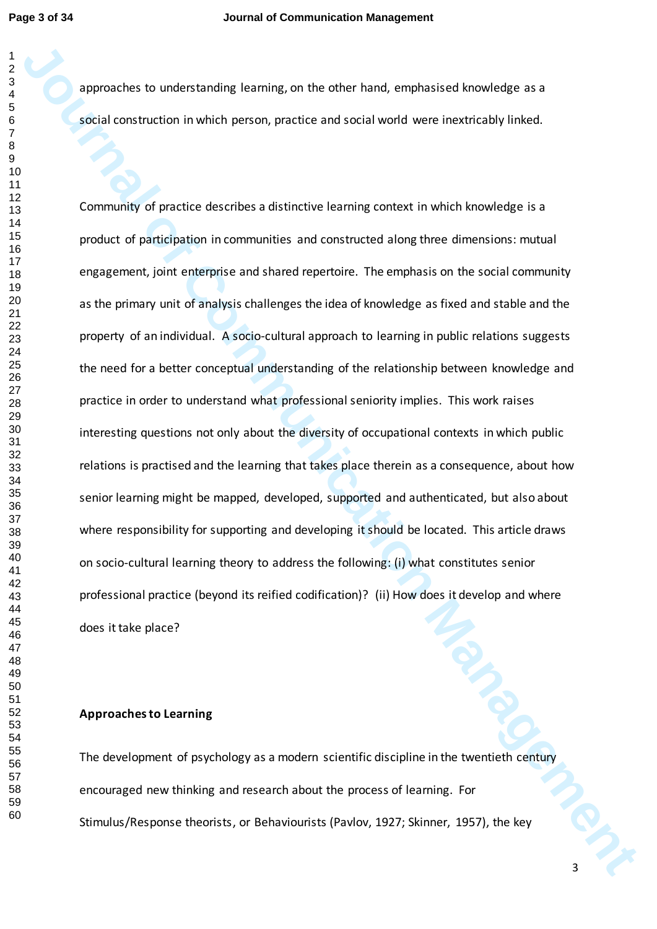approaches to understanding learning, on the other hand, emphasised knowledge as a social construction in which person, practice and social world were inextricably linked.

**Journal of Communication** is communicated and the complexies of social specific terms of the specific state of the specific state of the specific state of the specific state of the specific state of the specific state of Community of practice describes a distinctive learning context in which knowledge is a product of participation in communities and constructed along three dimensions: mutual engagement, joint enterprise and shared repertoire. The emphasis on the social community as the primary unit of analysis challenges the idea of knowledge as fixed and stable and the property of an individual. A socio-cultural approach to learning in public relations suggests the need for a better conceptual understanding of the relationship between knowledge and practice in order to understand what professional seniority implies. This work raises interesting questions not only about the diversity of occupational contexts in which public relations is practised and the learning that takes place therein as a consequence, about how senior learning might be mapped, developed, supported and authenticated, but also about where responsibility for supporting and developing it should be located. This article draws on socio-cultural learning theory to address the following: (i) what constitutes senior professional practice (beyond its reified codification)? (ii) How does it develop and where does it take place?

#### **Approaches to Learning**

The development of psychology as a modern scientific discipline in the twentieth century encouraged new thinking and research about the process of learning. For Stimulus/Response theorists, or Behaviourists (Pavlov, 1927; Skinner, 1957), the key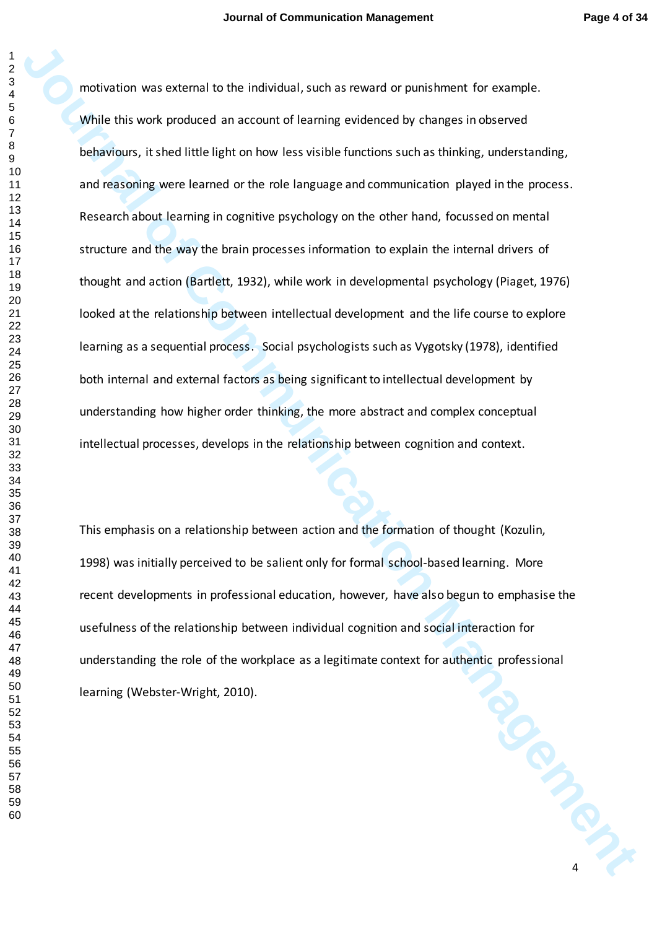interesting was creamed to the individual, such as reward or punishment for crample.<br>While this work produced an account of learning evidenced by thanges in observed<br>betwiews, it shed little light on how less visible funct motivation was external to the individual, such as reward or punishment for example. While this work produced an account of learning evidenced by changes in observed behaviours, it shed little light on how less visible functions such as thinking, understanding, and reasoning were learned or the role language and communication played in the process. Research about learning in cognitive psychology on the other hand, focussed on mental structure and the way the brain processes information to explain the internal drivers of thought and action (Bartlett, 1932), while work in developmental psychology (Piaget, 1976) looked at the relationship between intellectual development and the life course to explore learning as a sequential process. Social psychologists such as Vygotsky (1978), identified both internal and external factors as being significant to intellectual development by understanding how higher order thinking, the more abstract and complex conceptual intellectual processes, develops in the relationship between cognition and context.

**Concrete Secretary Rd** This emphasis on a relationship between action and the formation of thought (Kozulin, 1998) was initially perceived to be salient only for formal school-based learning. More recent developments in professional education, however, have also begun to emphasise the usefulness of the relationship between individual cognition and social interaction for understanding the role of the workplace as a legitimate context for authentic professional learning (Webster-Wright, 2010).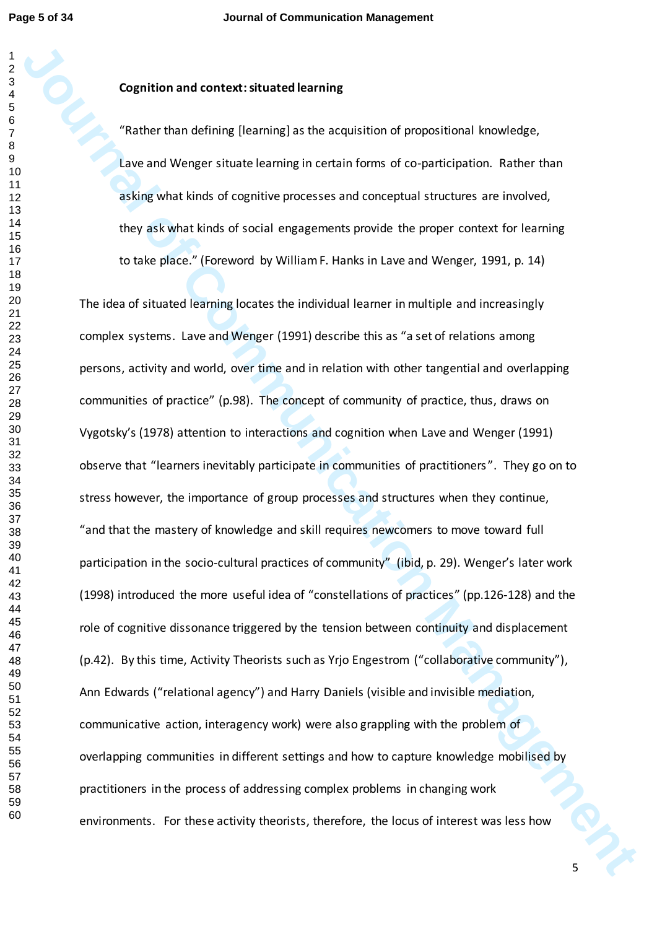#### 

# **Cognition and context: situated learning**

"Rather than defining [learning] as the acquisition of propositional knowledge, Lave and Wenger situate learning in certain forms of co-participation. Rather than asking what kinds of cognitive processes and conceptual structures are involved, they ask what kinds of social engagements provide the proper context for learning to take place." (Foreword by William F. Hanks in Lave and Wenger, 1991, p. 14)

**Cognition and context:situated keaming**<br>
"Radher than defining (lineming) as the acquisition of propositional knowledge,<br>
Lave and Wenger situate learning in certain forms of co-participation. Tather than<br>
esting what kin The idea of situated learning locates the individual learner in multiple and increasingly complex systems. Lave and Wenger (1991) describe this as "a set of relations among persons, activity and world, over time and in relation with other tangential and overlapping communities of practice" (p.98). The concept of community of practice, thus, draws on Vygotsky's (1978) attention to interactions and cognition when Lave and Wenger (1991) observe that "learners inevitably participate in communities of practitioners ". They go on to stress however, the importance of group processes and structures when they continue, "and that the mastery of knowledge and skill requires newcomers to move toward full participation in the socio-cultural practices of community" (ibid, p. 29). Wenger's later work (1998) introduced the more useful idea of "constellations of practices" (pp.126-128) and the role of cognitive dissonance triggered by the tension between continuity and displacement (p.42). By this time, Activity Theorists such as Yrjo Engestrom ("collaborative community"), Ann Edwards ("relational agency") and Harry Daniels (visible and invisible mediation, communicative action, interagency work) were also grappling with the problem of overlapping communities in different settings and how to capture knowledge mobilised by practitioners in the process of addressing complex problems in changing work environments. For these activity theorists, therefore, the locus of interest was less how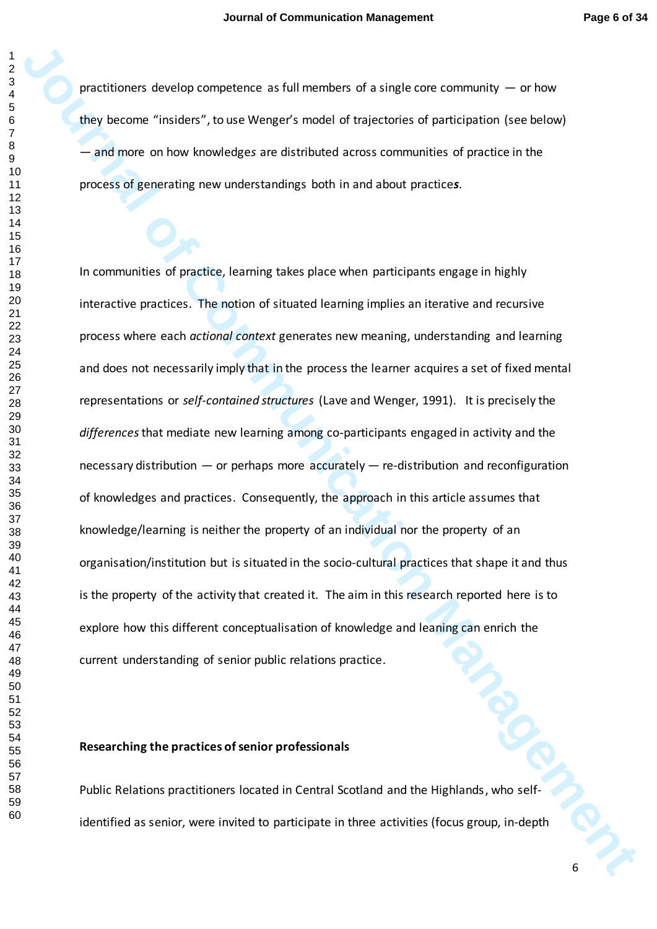practitioners develop competence as full members of a single core community  $-$  or how they become "insiders", to use Wenger's model of trajectories of participation (see below) — and more on how knowledge*s* are distributed across communities of practice in the process of generating new understandings both in and about practice*s*.

procedure over the institution of a single core community — or how<br>they become "insidens", to use Wenger's model of trajectories of participation (see below)<br>— and more to how knowledges are distributed across communities In communities of practice, learning takes place when participants engage in highly interactive practices. The notion of situated learning implies an iterative and recursive process where each *actional context* generates new meaning, understanding and learning and does not necessarily imply that in the process the learner acquires a set of fixed mental representations or *self-contained structures* (Lave and Wenger, 1991). It is precisely the *differences*that mediate new learning among co-participants engaged in activity and the necessary distribution — or perhaps more accurately — re-distribution and reconfiguration of knowledges and practices. Consequently, the approach in this article assumes that knowledge/learning is neither the property of an individual nor the property of an organisation/institution but is situated in the socio-cultural practices that shape it and thus is the property of the activity that created it. The aim in this research reported here is to explore how this different conceptualisation of knowledge and leaning can enrich the current understanding of senior public relations practice.

## **Researching the practices of senior professionals**

Public Relations practitioners located in Central Scotland and the Highlands, who selfidentified as senior, were invited to participate in three activities (focus group, in-depth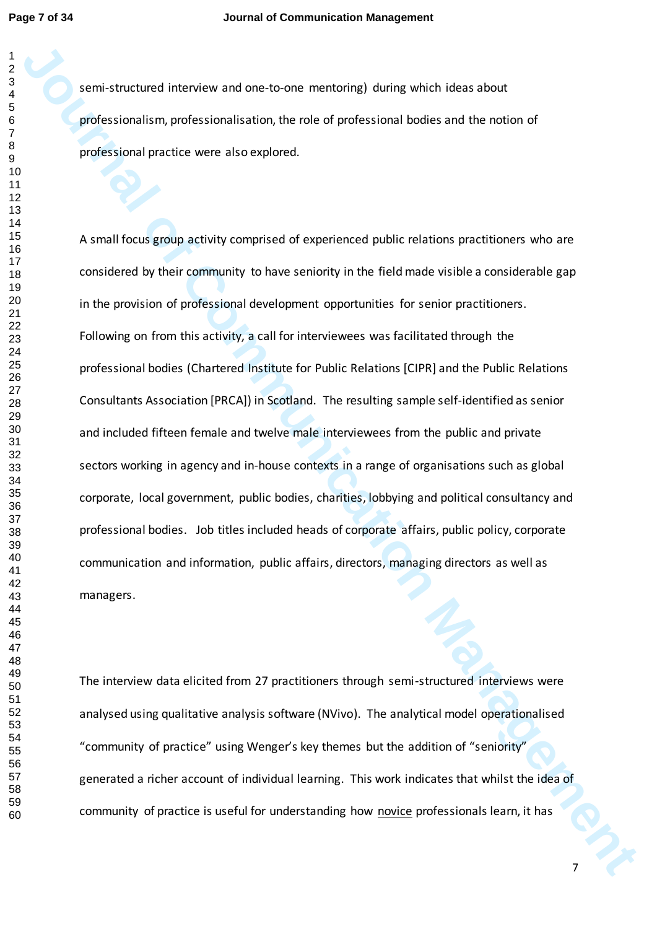semi-structured interview and one-to-one mentoring) during which ideas about professionalism, professionalisation, the role of professional bodies and the notion of professional practice were also explored.

**Journal of interaction and one to one mentoined during which ideas about<br>professional processions independent of experimental backets and the notion of<br>professional process computed.<br>A small flocon group activity comprise** A small focus group activity comprised of experienced public relations practitioners who are considered by their community to have seniority in the field made visible a considerable gap in the provision of professional development opportunities for senior practitioners. Following on from this activity, a call for interviewees was facilitated through the professional bodies (Chartered Institute for Public Relations [CIPR] and the Public Relations Consultants Association [PRCA]) in Scotland. The resulting sample self-identified as senior and included fifteen female and twelve male interviewees from the public and private sectors working in agency and in-house contexts in a range of organisations such as global corporate, local government, public bodies, charities, lobbying and political consultancy and professional bodies. Job titles included heads of corporate affairs, public policy, corporate communication and information, public affairs, directors, managing directors as well as managers.

The interview data elicited from 27 practitioners through semi-structured interviews were analysed using qualitative analysis software (NVivo). The analytical model operationalised "community of practice" using Wenger's key themes but the addition of "seniority" generated a richer account of individual learning. This work indicates that whilst the idea of community of practice is useful for understanding how novice professionals learn, it has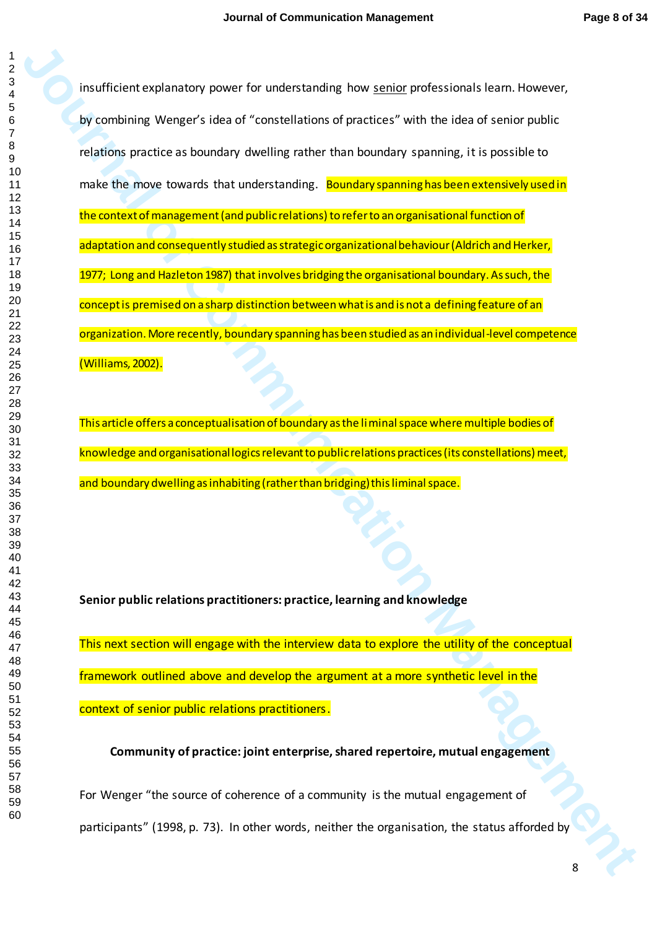**Journal of Communication (1998)**<br>To combining Wenger's let out "construction of processes" with the intent structure public<br>training to request let out "construction of processes" with the intent structure public<br>metric o insufficient explanatory power for understanding how senior professionals learn. However, by combining Wenger's idea of "constellations of practices" with the idea of senior public relations practice as boundary dwelling rather than boundary spanning, it is possible to make the move towards that understanding. Boundary spanning has been extensively used in the context of management (and public relations) to refer to an organisational function of adaptation and consequently studied as strategic organizational behaviour (Aldrich and Herker, 1977; Long and Hazleton 1987) that involves bridging the organisational boundary. As such, the concept is premised on a sharp distinction between what is and is not a defining feature of an organization. More recently, boundary spanning has been studied as an individual-level competence (Williams, 2002).

This article offers a conceptualisation of boundary as the liminal space where multiple bodies of knowledge and organisational logics relevant to public relations practices (its constellations) meet, and boundary dwelling as inhabiting (rather than bridging) this liminal space.

**Senior public relations practitioners: practice, learning and knowledge**

This next section will engage with the interview data to explore the utility of the conceptual framework outlined above and develop the argument at a more synthetic level in the context of senior public relations practitioners.

**Community of practice: joint enterprise, shared repertoire, mutual engagement**

For Wenger "the source of coherence of a community is the mutual engagement of participants" (1998, p. 73). In other words, neither the organisation, the status afforded by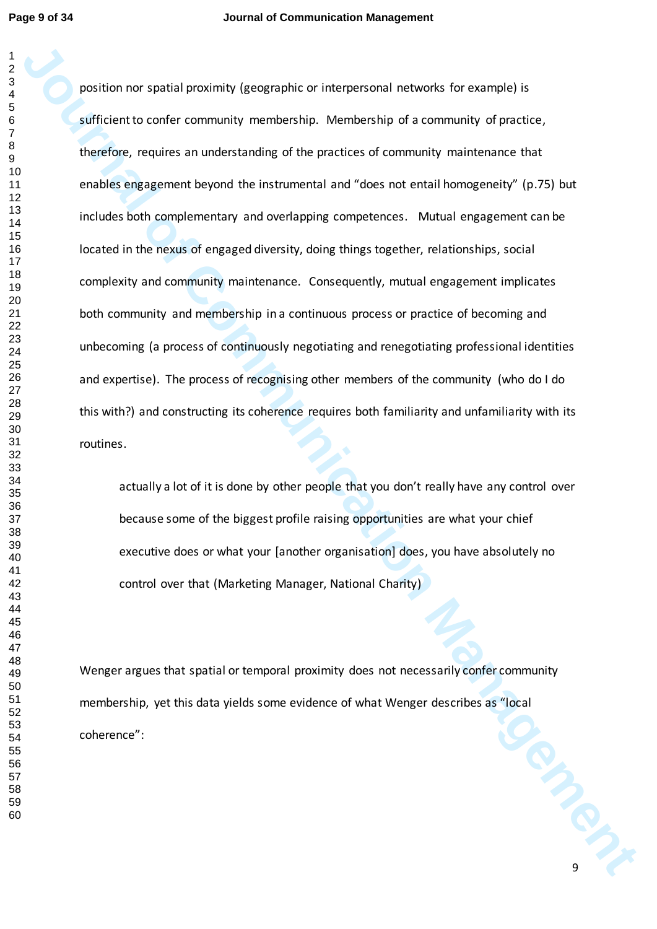position nor spatial proofinity (geographic or interpresent) networks for example) is<br>sufficient to control community membership. Membership with a community of precisics,<br>therefore, requires an understanding of the practi position nor spatial proximity (geographic or interpersonal networks for example) is sufficient to confer community membership. Membership of a community of practice, therefore, requires an understanding of the practices of community maintenance that enables engagement beyond the instrumental and "does not entail homogeneity" (p.75) but includes both complementary and overlapping competences. Mutual engagement can be located in the nexus of engaged diversity, doing things together, relationships, social complexity and community maintenance. Consequently, mutual engagement implicates both community and membership in a continuous process or practice of becoming and unbecoming (a process of continuously negotiating and renegotiating professional identities and expertise). The process of recognising other members of the community (who do I do this with?) and constructing its coherence requires both familiarity and unfamiliarity with its routines.

actually a lot of it is done by other people that you don't really have any control over because some of the biggest profile raising opportunities are what your chief executive does or what your [another organisation] does, you have absolutely no control over that (Marketing Manager, National Charity)

PRICIPIUS Wenger argues that spatial or temporal proximity does not necessarily confer community membership, yet this data yields some evidence of what Wenger describes as "local coherence":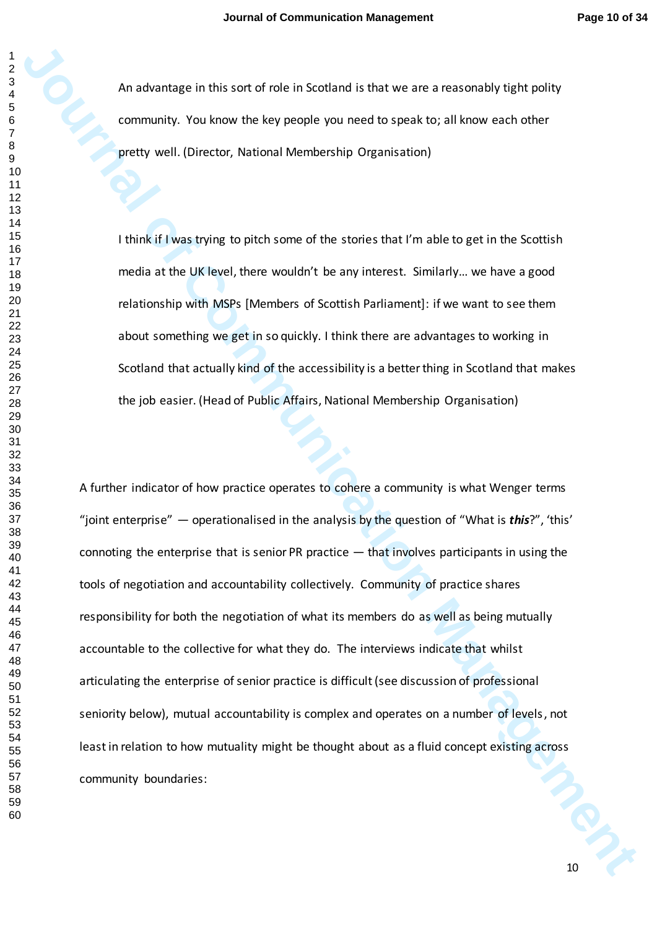An advantage in this sort of role in Scotland is that we are a reasonably tight polity community. You know the key people you need to speak to; all know each other pretty well. (Director, National Membership Organisation)

I think if I was trying to pitch some of the stories that I'm able to get in the Scottish media at the UK level, there wouldn't be any interest. Similarly… we have a good relationship with MSPs [Members of Scottish Parliament]: if we want to see them about something we get in so quickly. I think there are advantages to working in Scotland that actually kind of the accessibility is a better thing in Scotland that makes the job easier. (Head of Public Affairs, National Membership Organisation)

**Journal of this sort of the listended is that we are a ressonably tells controlled to a strategies and the community.** You know the key people you need to specific that like one of the strategies party and the strategies A further indicator of how practice operates to cohere a community is what Wenger terms "joint enterprise" — operationalised in the analysis by the question of "What is *this*?", 'this' connoting the enterprise that is senior PR practice — that involves participants in using the tools of negotiation and accountability collectively. Community of practice shares responsibility for both the negotiation of what its members do as well as being mutually accountable to the collective for what they do. The interviews indicate that whilst articulating the enterprise of senior practice is difficult (see discussion of professional seniority below), mutual accountability is complex and operates on a number of levels, not least in relation to how mutuality might be thought about as a fluid concept existing across community boundaries: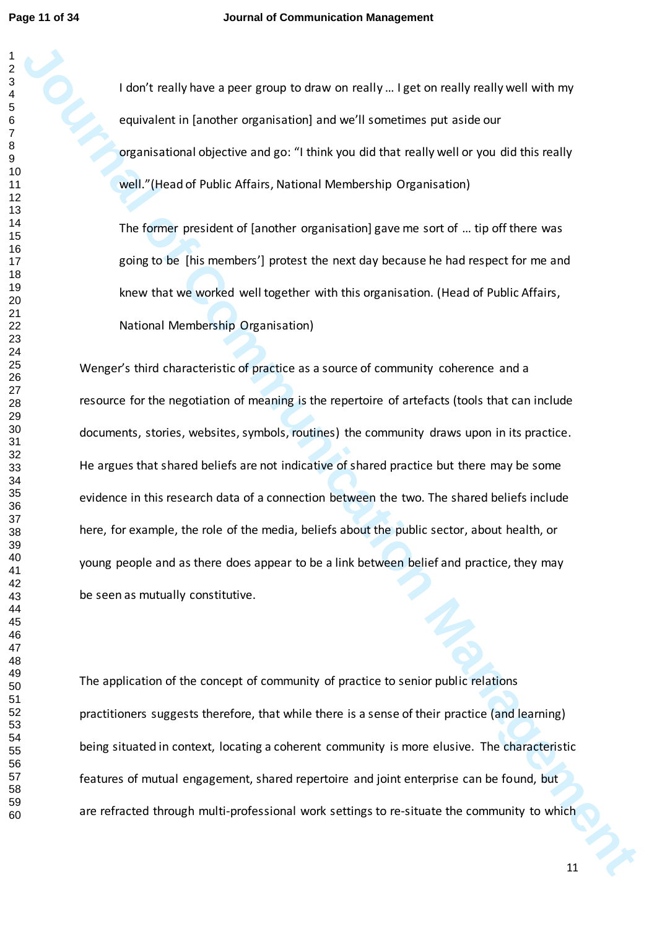I don't really have a peer group to draw on really … I get on really really well with my equivalent in [another organisation] and we'll sometimes put aside our organisational objective and go: "I think you did that really well or you did this really well."(Head of Public Affairs, National Membership Organisation)

The former president of [another organisation] gave me sort of … tip off there was going to be [his members'] protest the next day because he had respect for me and knew that we worked well together with this organisation. (Head of Public Affairs, National Membership Organisation)

**Journal of the model of the community of the Community is also and the community of the community of the communication of the communication of the communication of the communication of the communication of the communicat** Wenger's third characteristic of practice as a source of community coherence and a resource for the negotiation of meaning is the repertoire of artefacts (tools that can include documents, stories, websites, symbols, routines) the community draws upon in its practice. He argues that shared beliefs are not indicative of shared practice but there may be some evidence in this research data of a connection between the two. The shared beliefs include here, for example, the role of the media, beliefs about the public sector, about health, or young people and as there does appear to be a link between belief and practice, they may be seen as mutually constitutive.

The application of the concept of community of practice to senior public relations practitioners suggests therefore, that while there is a sense of their practice (and learning) being situated in context, locating a coherent community is more elusive. The characteristic features of mutual engagement, shared repertoire and joint enterprise can be found, but are refracted through multi-professional work settings to re-situate the community to which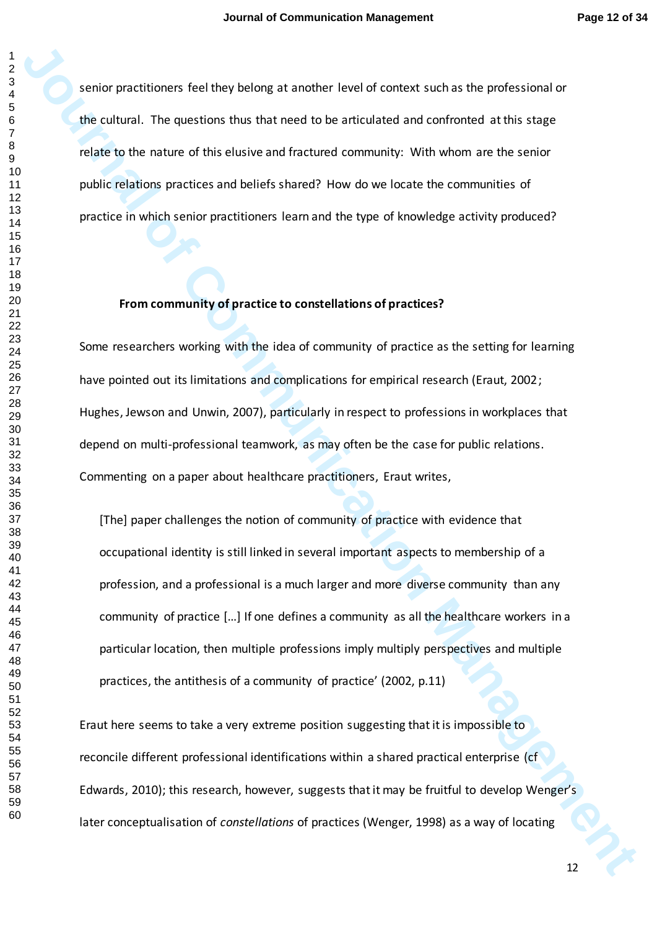senior practitioners feel they belong at another level of context such as the professional or the cultural. The questions thus that need to be articulated and confronted at this stage relate to the nature of this elusive and fractured community: With whom are the senior public relations practices and beliefs shared? How do we locate the communities of practice in which senior practitioners learn and the type of knowledge activity produced?

## **From community of practice to constellations of practices?**

Some researchers working with the idea of community of practice as the setting for learning have pointed out its limitations and complications for empirical research (Eraut, 2002; Hughes, Jewson and Unwin, 2007), particularly in respect to professions in workplaces that depend on multi-professional teamwork, as may often be the case for public relations. Commenting on a paper about healthcare practitioners, Eraut writes,

senier procedure feel they belong at another level of context such as the professional or<br>the cultural. The questions that that meet of the anticulated and conference activis stage<br>relate to the numerof discludion and frac [The] paper challenges the notion of community of practice with evidence that occupational identity is still linked in several important aspects to membership of a profession, and a professional is a much larger and more diverse community than any community of practice […] If one defines a community as all the healthcare workers in a particular location, then multiple professions imply multiply perspectives and multiple practices, the antithesis of a community of practice' (2002, p.11)

Eraut here seems to take a very extreme position suggesting that it is impossible to reconcile different professional identifications within a shared practical enterprise (cf Edwards, 2010); this research, however, suggests that it may be fruitful to develop Wenger's later conceptualisation of *constellations* of practices (Wenger, 1998) as a way of locating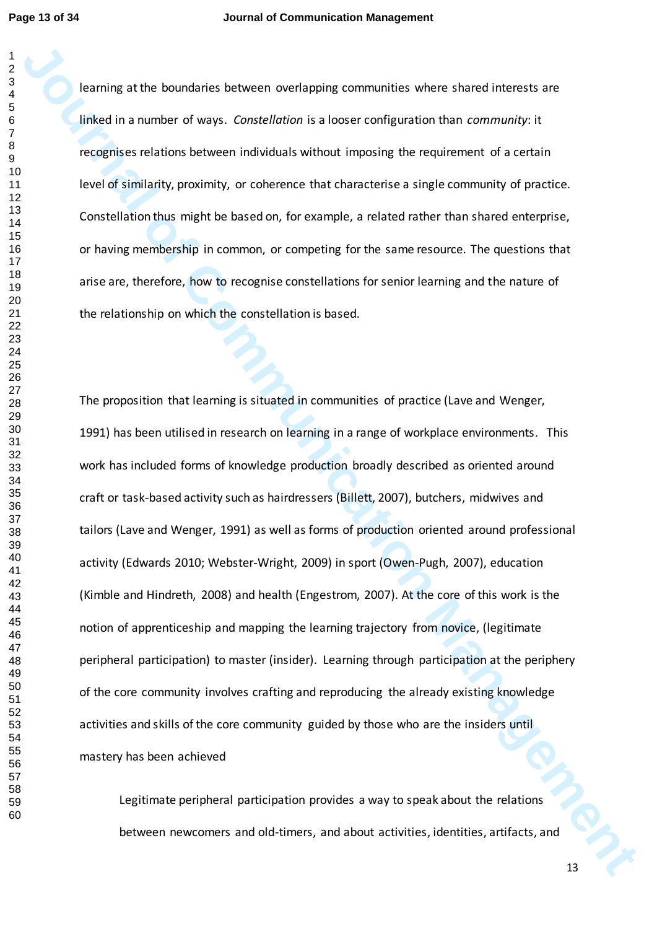learning at the boundaries between overlapping communities where shared interests are linked in a number of ways. *Constellation* is a looser configuration than *community*: it recognises relations between individuals without imposing the requirement of a certain level of similarity, proximity, or coherence that characterise a single community of practice. Constellation thus might be based on, for example, a related rather than shared enterprise, or having membership in common, or competing for the same resource. The questions that arise are, therefore, how to recognise constellations for senior learning and the nature of the relationship on which the constellation is based.

**Journing other boundants between overlapping communites where shared incorects are likeled in a number of ways.** Consertibute is a floorer configuration than community it is respected to the computer of such a respected o The proposition that learning is situated in communities of practice (Lave and Wenger, 1991) has been utilised in research on learning in a range of workplace environments. This work has included forms of knowledge production broadly described as oriented around craft or task-based activity such as hairdressers (Billett, 2007), butchers, midwives and tailors (Lave and Wenger, 1991) as well as forms of production oriented around professional activity (Edwards 2010; Webster-Wright, 2009) in sport (Owen-Pugh, 2007), education (Kimble and Hindreth, 2008) and health (Engestrom, 2007). At the core of this work is the notion of apprenticeship and mapping the learning trajectory from novice, (legitimate peripheral participation) to master (insider). Learning through participation at the periphery of the core community involves crafting and reproducing the already existing knowledge activities and skills of the core community guided by those who are the insiders until mastery has been achieved

Legitimate peripheral participation provides a way to speak about the relations between newcomers and old-timers, and about activities, identities, artifacts, and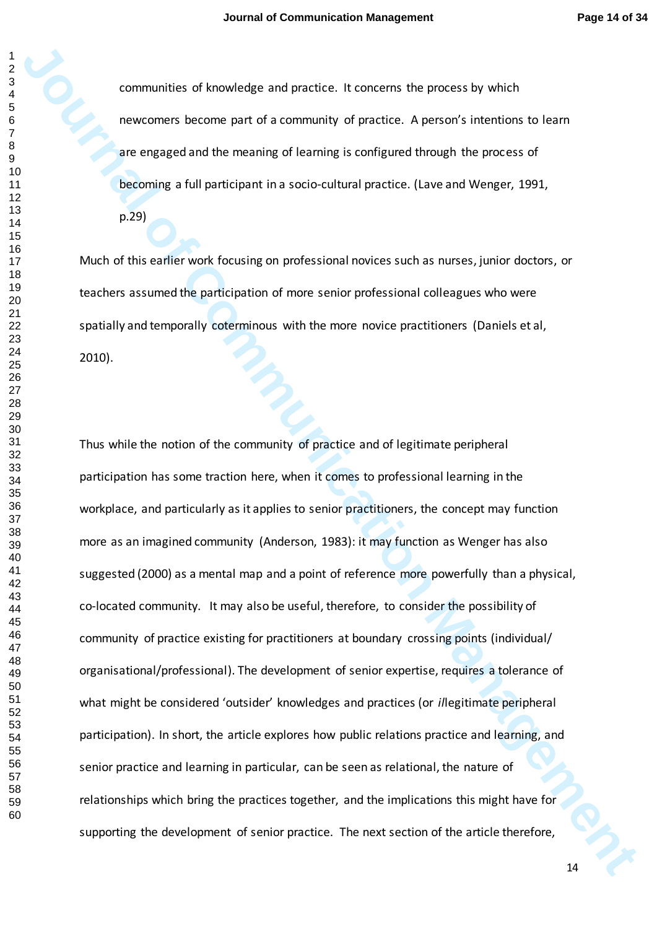communities of knowledge and practice. It concerns the process by which newcomers become part of a community of practice. A person's intentions to learn are engaged and the meaning of learning is configured through the process of becoming a full participant in a socio-cultural practice. (Lave and Wenger, 1991,

p.29)

Much of this earlier work focusing on professional novices such as nurses, junior doctors, or teachers assumed the participation of more senior professional colleagues who were spatially and temporally coterminous with the more novice practitioners (Daniels et al, 2010).

**Journal of Example 19** of Monologies and practice. It concerns the process by which<br>increasing the meaning of learning is configured thosen is therefore is the process of<br>the comparison the meaning of learning is configur Thus while the notion of the community of practice and of legitimate peripheral participation has some traction here, when it comes to professional learning in the workplace, and particularly as it applies to senior practitioners, the concept may function more as an imagined community (Anderson, 1983): it may function as Wenger has also suggested (2000) as a mental map and a point of reference more powerfully than a physical, co-located community. It may also be useful, therefore, to consider the possibility of community of practice existing for practitioners at boundary crossing points (individual/ organisational/professional). The development of senior expertise, requires a tolerance of what might be considered 'outsider' knowledges and practices (or *il*legitimate peripheral participation). In short, the article explores how public relations practice and learning, and senior practice and learning in particular, can be seen as relational, the nature of relationships which bring the practices together, and the implications this might have for supporting the development of senior practice. The next section of the article therefore,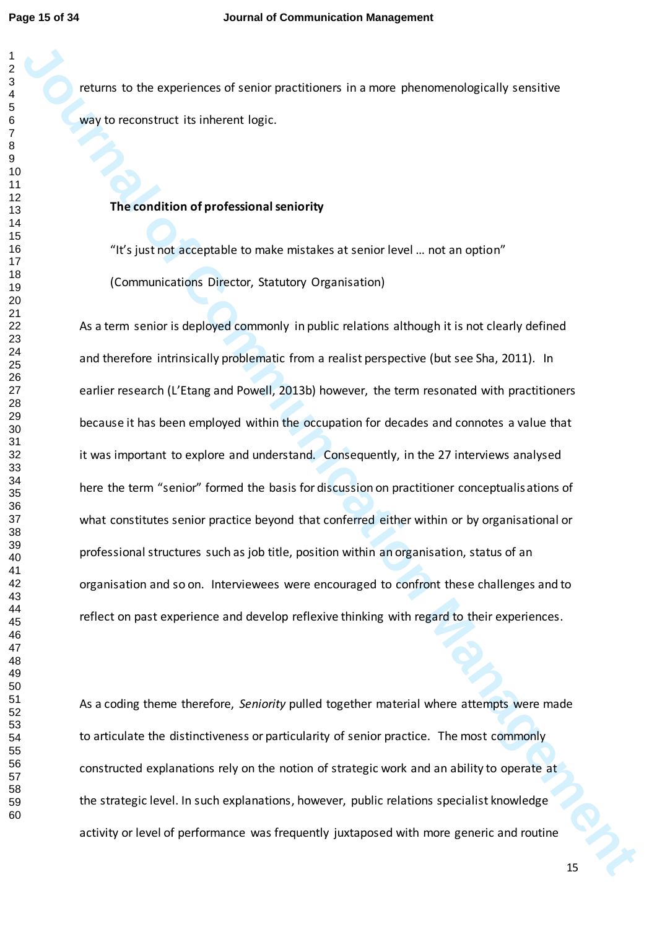returns to the experiences of senior practitioners in a more phenomenologically sensitive way to reconstruct its inherent logic.

## **The condition of professional seniority**

"It's just not acceptable to make mistakes at senior level … not an option" (Communications Director, Statutory Organisation)

**Journal of the Considerers of senior practitioners in a more phenomenologically sensitive<br>wave to except transformal seriors (higher anti-management) and a magnitude of professional semiority<br>The communication of professi** As a term senior is deployed commonly in public relations although it is not clearly defined and therefore intrinsically problematic from a realist perspective (but see Sha, 2011). In earlier research (L'Etang and Powell, 2013b) however, the term resonated with practitioners because it has been employed within the occupation for decades and connotes a value that it was important to explore and understand. Consequently, in the 27 interviews analysed here the term "senior" formed the basis for discussion on practitioner conceptualisations of what constitutes senior practice beyond that conferred either within or by organisational or professional structures such as job title, position within an organisation, status of an organisation and so on. Interviewees were encouraged to confront these challenges and to reflect on past experience and develop reflexive thinking with regard to their experiences.

As a coding theme therefore, *Seniority* pulled together material where attempts were made to articulate the distinctiveness or particularity of senior practice. The most commonly constructed explanations rely on the notion of strategic work and an ability to operate at the strategic level. In such explanations, however, public relations specialist knowledge activity or level of performance was frequently juxtaposed with more generic and routine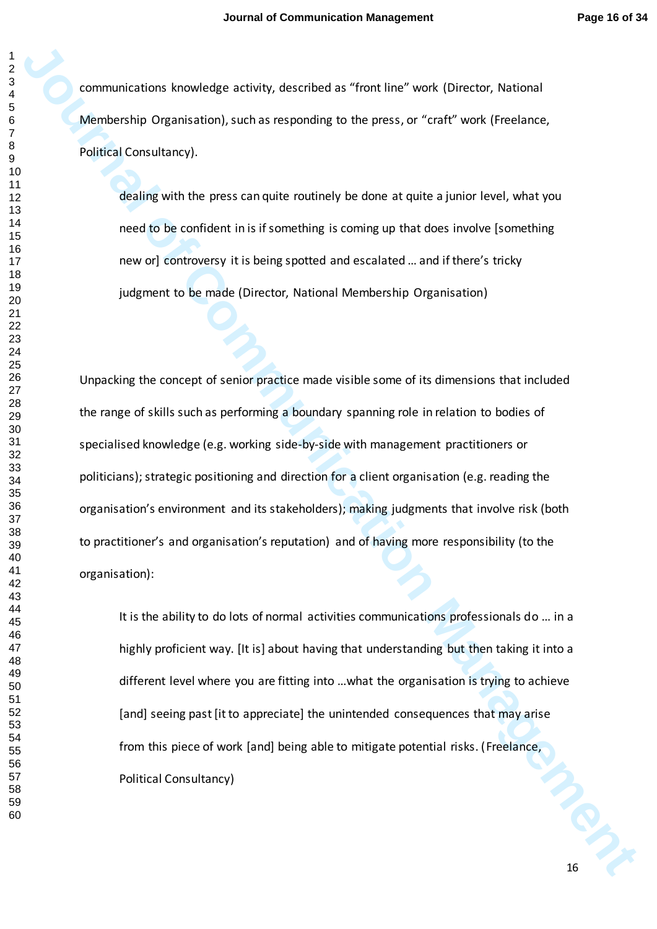communications knowledge activity, described as "front line" work (Director, National Membership Organisation), such as responding to the press, or "craft" work (Freelance, Political Consultancy).

dealing with the press can quite routinely be done at quite a junior level, what you need to be confident in is if something is coming up that does involve [something new or] controversy it is being spotted and escalated … and if there's tricky judgment to be made (Director, National Membership Organisation)

**Journal of the School School School School School School School School School School School School School School School School School School School School School School School School School School School School School Sch** Unpacking the concept of senior practice made visible some of its dimensions that included the range of skills such as performing a boundary spanning role in relation to bodies of specialised knowledge (e.g. working side-by-side with management practitioners or politicians); strategic positioning and direction for a client organisation (e.g. reading the organisation's environment and its stakeholders); making judgments that involve risk (both to practitioner's and organisation's reputation) and of having more responsibility (to the organisation):

It is the ability to do lots of normal activities communications professionals do … in a highly proficient way. [It is] about having that understanding but then taking it into a different level where you are fitting into …what the organisation is trying to achieve [and] seeing past [it to appreciate] the unintended consequences that may arise from this piece of work [and] being able to mitigate potential risks. (Freelance, Political Consultancy)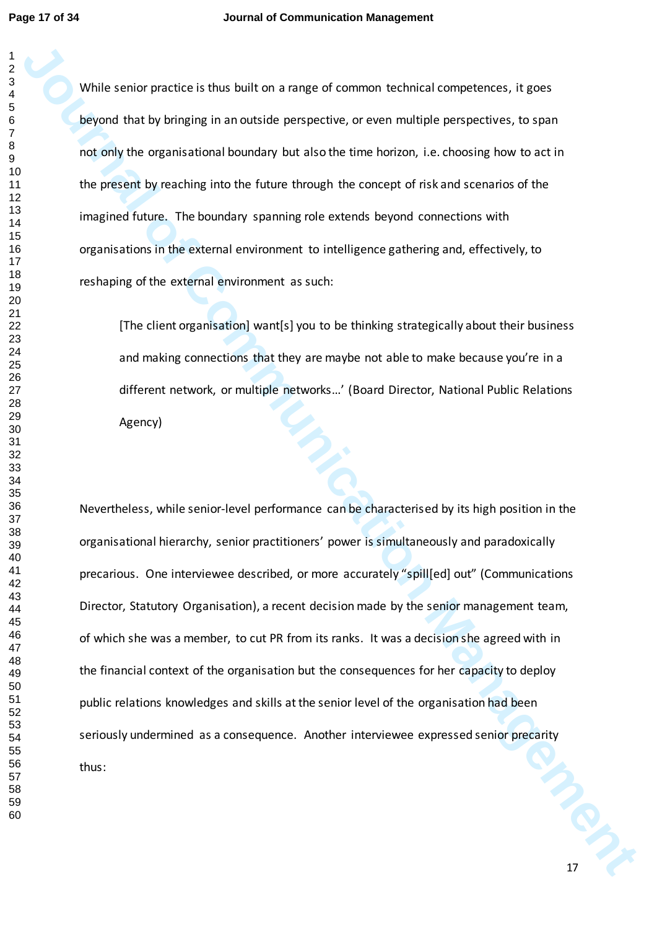While senior practice is thus built on a range of common technical competences, it goes beyond that by bringing in an outside perspective, or even multiple perspectives, to span not only the organisational boundary but also the time horizon, i.e. choosing how to act in the present by reaching into the future through the concept of risk and scenarios of the imagined future. The boundary spanning role extends beyond connections with organisations in the external environment to intelligence gathering and, effectively, to reshaping of the external environment as such:

[The client organisation] want[s] you to be thinking strategically about their business and making connections that they are maybe not able to make because you're in a different network, or multiple networks…' (Board Director, National Public Relations Agency)

While senior practice is thus built on a range of common technical competences, it goes<br>beyond that by Miniging in an outside perpetitive, or even multiple perspectives, or span<br>resumptive computational bandwide perspectiv Nevertheless, while senior-level performance can be characterised by its high position in the organisational hierarchy, senior practitioners' power is simultaneously and paradoxically precarious. One interviewee described, or more accurately "spill[ed] out" (Communications Director, Statutory Organisation), a recent decision made by the senior management team, of which she was a member, to cut PR from its ranks. It was a decision she agreed with in the financial context of the organisation but the consequences for her capacity to deploy public relations knowledges and skills at the senior level of the organisation had been seriously undermined as a consequence. Another interviewee expressed senior precarity thus: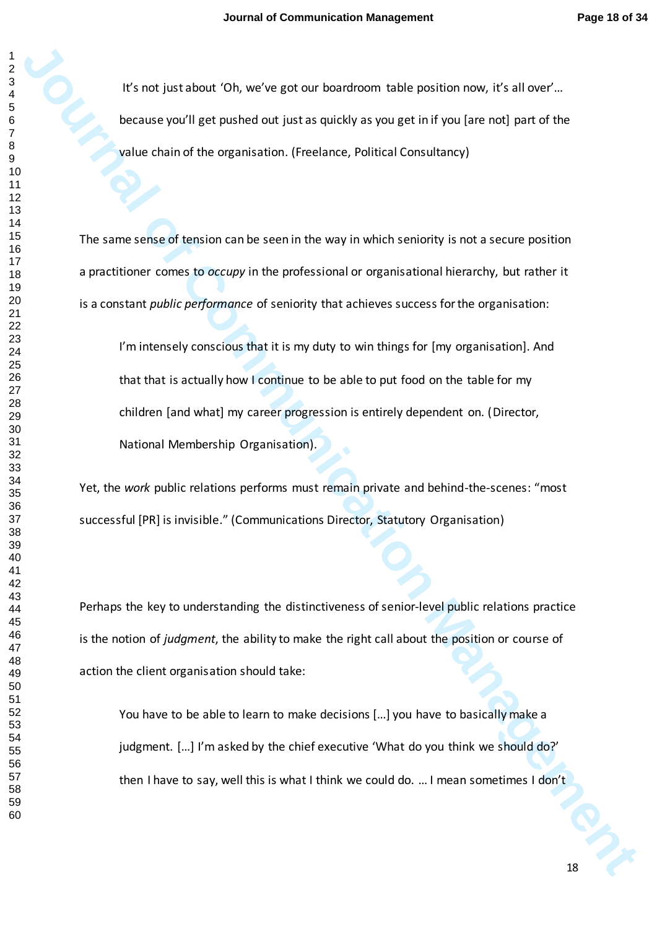It's not just about 'Oh, we've got our boardroom table position now, it's all over'... because you'll get pushed out just as quickly as you get in if you [are not] part of the value chain of the organisation. (Freelance, Political Consultancy)

The same sense of tension can be seen in the way in which seniority is not a secure position a practitioner comes to *occupy* in the professional or organisational hierarchy, but rather it is a constant *public performance* of seniority that achieves success for the organisation:

**Journal of Communication** (Communication belonging to the position result of the computer of the spectral of the opposition (Freedom; Position Consultation)<br>
Journal of the opposition (Freedom; Position Consultation) is o I'm intensely conscious that it is my duty to win things for [my organisation]. And that that is actually how I continue to be able to put food on the table for my children [and what] my career progression is entirely dependent on. (Director, National Membership Organisation).

Yet, the *work* public relations performs must remain private and behind-the-scenes: "most successful [PR] is invisible." (Communications Director, Statutory Organisation)

Perhaps the key to understanding the distinctiveness of senior-level public relations practice is the notion of *judgment*, the ability to make the right call about the position or course of action the client organisation should take:

You have to be able to learn to make decisions […] you have to basically make a judgment. [...] I'm asked by the chief executive 'What do you think we should do?' then I have to say, well this is what I think we could do. … I mean sometimes I don't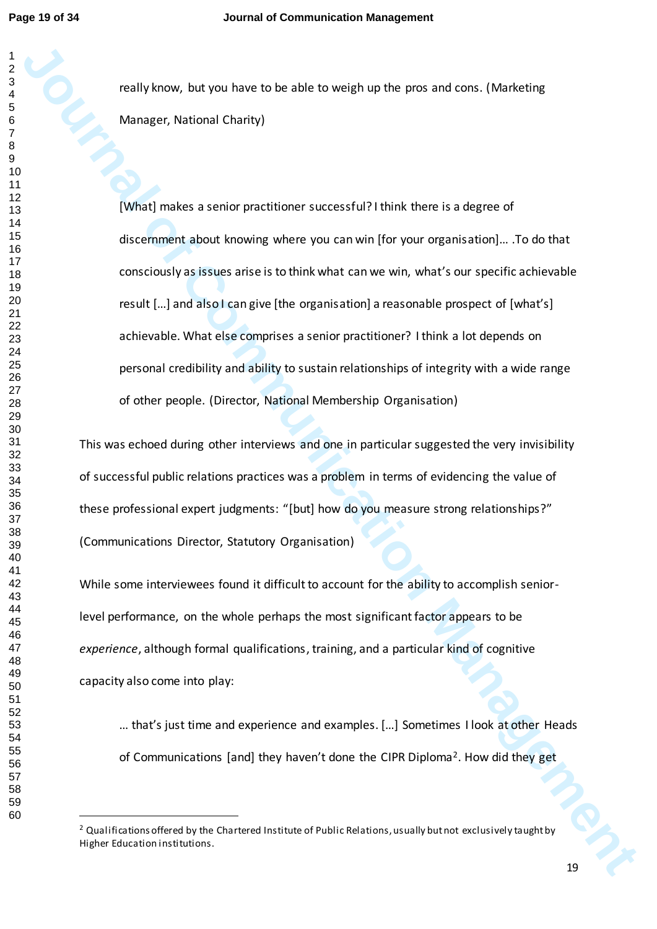really know, but you have to be able to weigh up the pros and cons. (Marketing Manager, National Charity)

**Journal of Communications** (and the state of Communications (and the state of Communications (and the state of Communications (and the state of Communications of Communications (and the communications of Communications (a [What] makes a senior practitioner successful? I think there is a degree of discernment about knowing where you can win [for your organisation]… .To do that consciously as issues arise is to think what can we win, what's our specific achievable result […] and also I can give [the organisation] a reasonable prospect of [what's] achievable. What else comprises a senior practitioner? I think a lot depends on personal credibility and ability to sustain relationships of integrity with a wide range of other people. (Director, National Membership Organisation)

This was echoed during other interviews and one in particular suggested the very invisibility of successful public relations practices was a problem in terms of evidencing the value of these professional expert judgments: "[but] how do you measure strong relationships?" (Communications Director, Statutory Organisation)

While some interviewees found it difficult to account for the ability to accomplish seniorlevel performance, on the whole perhaps the most significant factor appears to be *experience*, although formal qualifications, training, and a particular kind of cognitive capacity also come into play:

… that's just time and experience and examples. […] Sometimes I look at other Heads of Communications [and] they haven't done the CIPR Diploma<sup>2</sup>. How did they get

 $\overline{a}$ 

<sup>&</sup>lt;sup>2</sup> Qualifications offered by the Chartered Institute of Public Relations, usually but not exclusively taught by Higher Education institutions.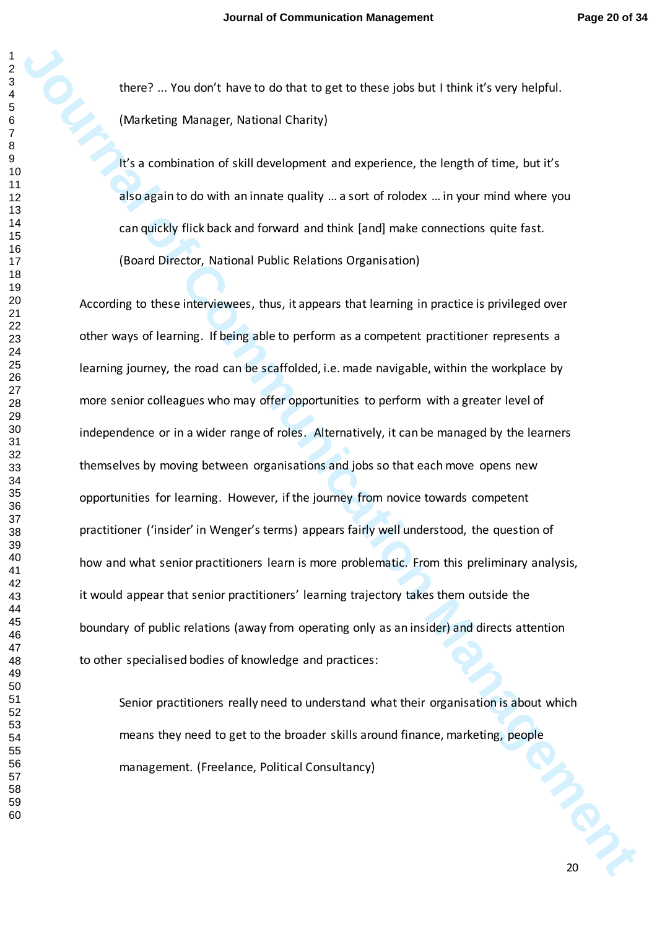there? ... You don't have to do that to get to these jobs but I think it's very helpful. (Marketing Manager, National Charity)

It's a combination of skill development and experience, the length of time, but it's also again to do with an innate quality … a sort of rolodex … in your mind where you can quickly flick back and forward and think [and] make connections quite fast. (Board Director, National Public Relations Organisation)

there? ... You don't have to do that to get to these plays but it think it's very ledsful.<br>
(Municiply Manager, National Charity)<br>
It's a containation of skill dievelopment and experience, the length of time, but it's<br>
als According to these interviewees, thus, it appears that learning in practice is privileged over other ways of learning. If being able to perform as a competent practitioner represents a learning journey, the road can be scaffolded, i.e. made navigable, within the workplace by more senior colleagues who may offer opportunities to perform with a greater level of independence or in a wider range of roles. Alternatively, it can be managed by the learners themselves by moving between organisations and jobs so that each move opens new opportunities for learning. However, if the journey from novice towards competent practitioner ('insider' in Wenger's terms) appears fairly well understood, the question of how and what senior practitioners learn is more problematic. From this preliminary analysis, it would appear that senior practitioners' learning trajectory takes them outside the boundary of public relations (away from operating only as an insider) and directs attention to other specialised bodies of knowledge and practices:

Senior practitioners really need to understand what their organisation is about which means they need to get to the broader skills around finance, marketing, people management. (Freelance, Political Consultancy)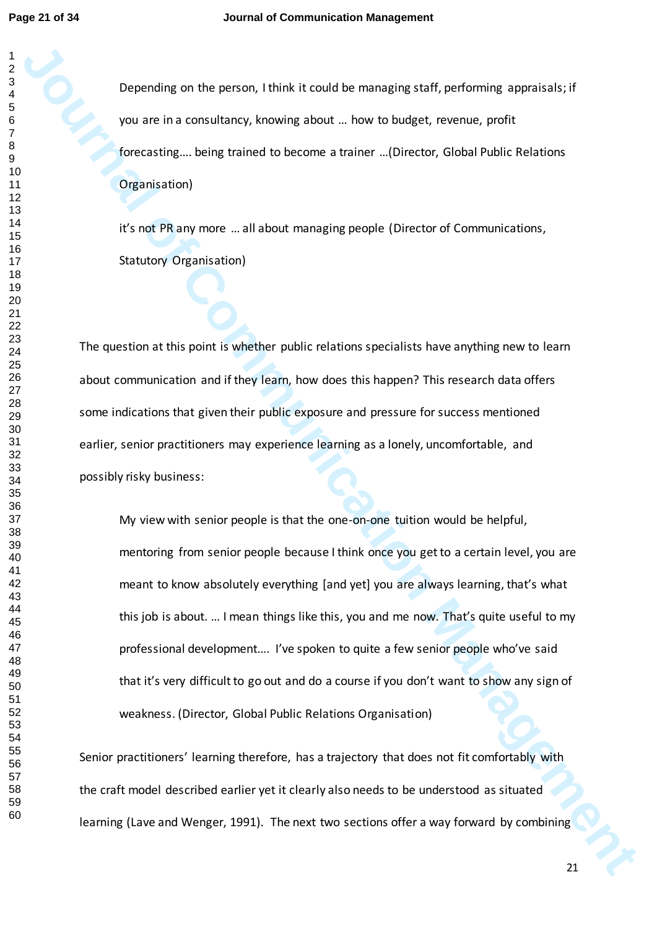Depending on the person, I think it could be managing staff, performing appraisals; if you are in a consultancy, knowing about … how to budget, revenue, profit forecasting…. being trained to become a trainer …(Director, Global Public Relations Organisation)

it's not PR any more … all about managing people (Director of Communications, Statutory Organisation)

The question at this point is whether public relations specialists have anything new to learn about communication and if they learn, how does this happen? This research data offers some indications that given their public exposure and pressure for success mentioned earlier, senior practitioners may experience learning as a lonely, uncomfortable, and possibly risky business:

Decembrig on the person, think it could be managing staff, performing agranisatio; f<br>
you are in a considering, knowing about ... low to budget, revenue, profit<br>
forecasting.... being trained to kecommunication... (Directo My view with senior people is that the one-on-one tuition would be helpful, mentoring from senior people because I think once you get to a certain level, you are meant to know absolutely everything [and yet] you are always learning, that's what this job is about. … I mean things like this, you and me now. That's quite useful to my professional development…. I've spoken to quite a few senior people who've said that it's very difficult to go out and do a course if you don't want to show any sign of weakness. (Director, Global Public Relations Organisation)

Senior practitioners' learning therefore, has a trajectory that does not fit comfortably with the craft model described earlier yet it clearly also needs to be understood as situated learning (Lave and Wenger, 1991). The next two sections offer a way forward by combining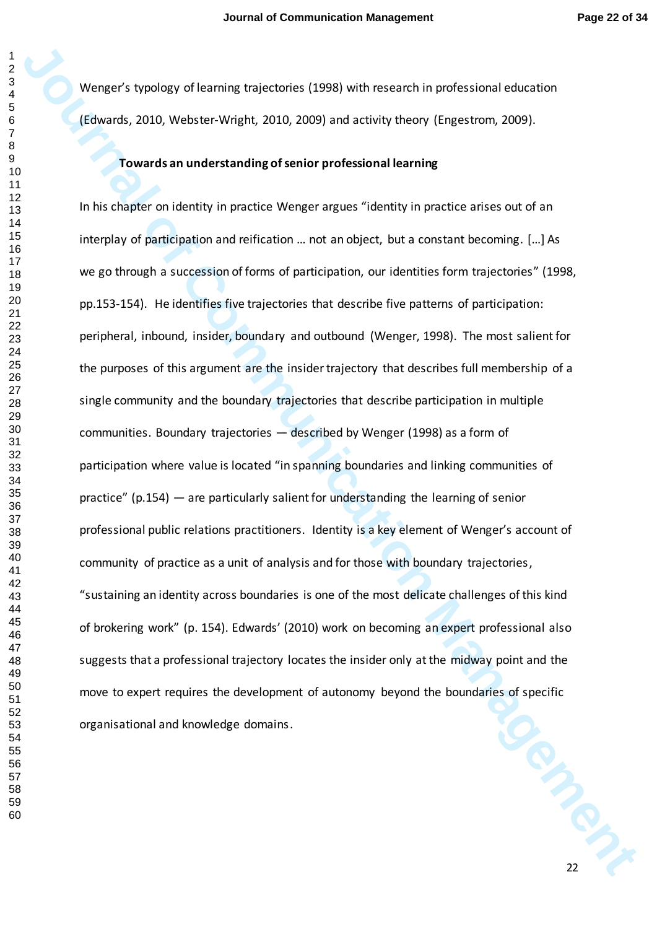Wenger's typology of learning trajectories (1998) with research in professional education (Edwards, 2010, Webster-Wright, 2010, 2009) and activity theory (Engestrom, 2009).

# **Towards an understanding of senior professional learning**

Weepper's typology of learning trajectories (1998) with research in professional education<br> **Journals an understanding of senior professional learning**<br> **Journals an understanding of senior professional learning**<br>
In this **PRIMER** In his chapter on identity in practice Wenger argues "identity in practice arises out of an interplay of participation and reification … not an object, but a constant becoming. […] As we go through a succession of forms of participation, our identities form trajectories" (1998, pp.153-154). He identifies five trajectories that describe five patterns of participation: peripheral, inbound, insider, boundary and outbound (Wenger, 1998). The most salient for the purposes of this argument are the insider trajectory that describes full membership of a single community and the boundary trajectories that describe participation in multiple communities. Boundary trajectories — described by Wenger (1998) as a form of participation where value is located "in spanning boundaries and linking communities of practice" (p.154) — are particularly salient for understanding the learning of senior professional public relations practitioners. Identity is a key element of Wenger's account of community of practice as a unit of analysis and for those with boundary trajectories, "sustaining an identity across boundaries is one of the most delicate challenges of this kind of brokering work" (p. 154). Edwards' (2010) work on becoming an expert professional also suggests that a professional trajectory locates the insider only at the midway point and the move to expert requires the development of autonomy beyond the boundaries of specific organisational and knowledge domains.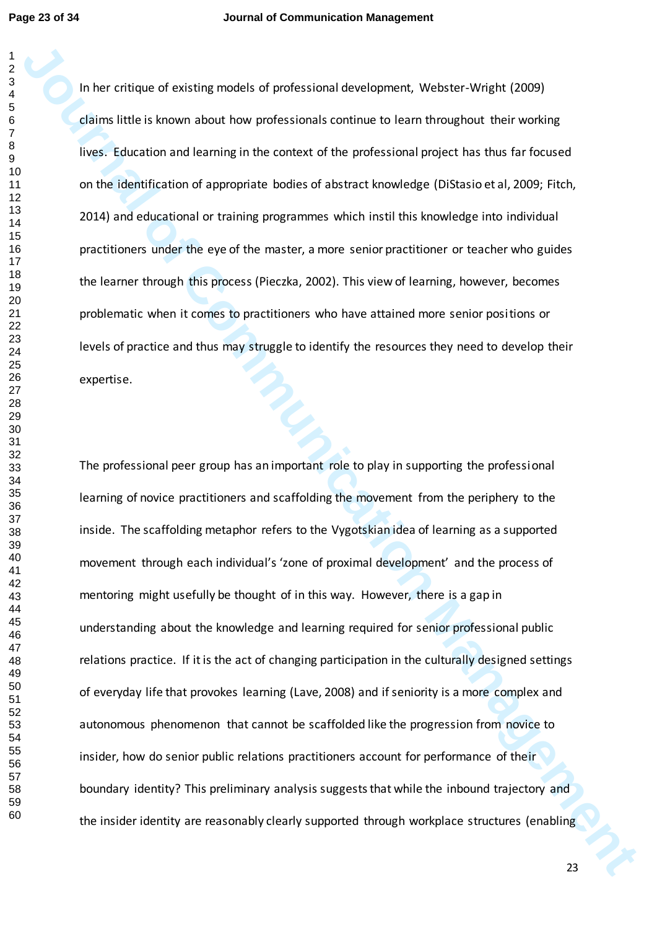In her critique of existing models of professional development, Webster-Wright (2009) claims little is known about how professionals continue to learn throughout their working lives. Education and learning in the context of the professional project has thus far focused on the identification of appropriate bodies of abstract knowledge (DiStasio et al, 2009; Fitch, 2014) and educational or training programmes which instil this knowledge into individual practitioners under the eye of the master, a more senior practitioner or teacher who guides the learner through this process (Pieczka, 2002). This view of learning, however, becomes problematic when it comes to practitioners who have attained more senior positions or levels of practice and thus may struggle to identify the resources they need to develop their expertise.

In her critique of coisitner models of professional development, Webster Winjet (2009)<br>disims little is known about how professionals consinue to itsem throughout their wording<br>lives. Futuration and learning in the context The professional peer group has an important role to play in supporting the professional learning of novice practitioners and scaffolding the movement from the periphery to the inside. The scaffolding metaphor refers to the Vygotskian idea of learning as a supported movement through each individual's 'zone of proximal development' and the process of mentoring might usefully be thought of in this way. However, there is a gap in understanding about the knowledge and learning required for senior professional public relations practice. If it is the act of changing participation in the culturally designed settings of everyday life that provokes learning (Lave, 2008) and if seniority is a more complex and autonomous phenomenon that cannot be scaffolded like the progression from novice to insider, how do senior public relations practitioners account for performance of their boundary identity? This preliminary analysis suggests that while the inbound trajectory and the insider identity are reasonably clearly supported through workplace structures (enabling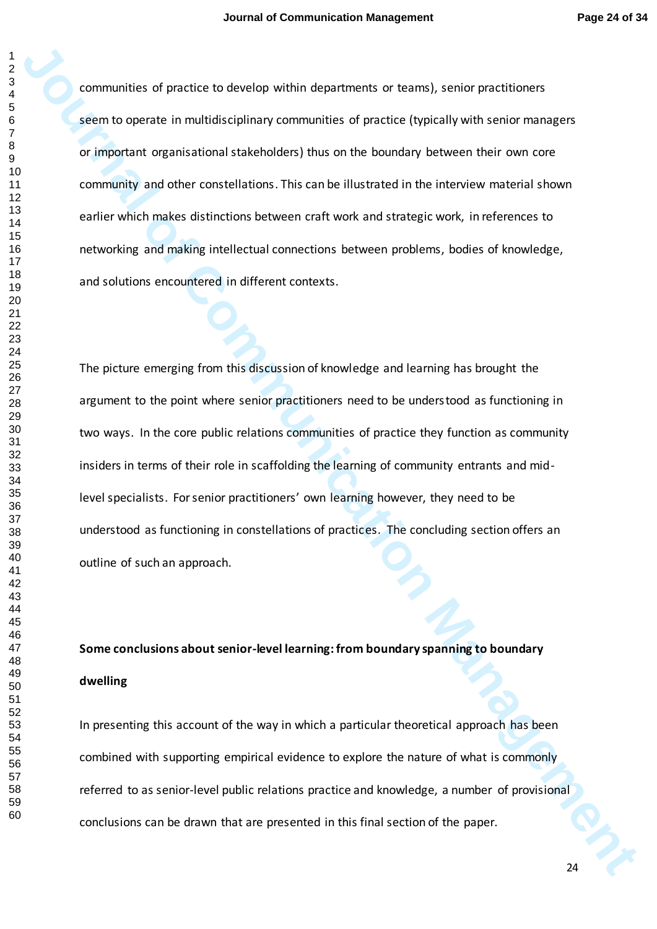**Journal of the procedure of develop within departments or toward, several of exceptiones**<br>serving occurs in multidistical range communities of practice (hypically with series managers<br>or important regarisation of statehol communities of practice to develop within departments or teams), senior practitioners seem to operate in multidisciplinary communities of practice (typically with senior managers or important organisational stakeholders) thus on the boundary between their own core community and other constellations. This can be illustrated in the interview material shown earlier which makes distinctions between craft work and strategic work, in references to networking and making intellectual connections between problems, bodies of knowledge, and solutions encountered in different contexts.

The picture emerging from this discussion of knowledge and learning has brought the argument to the point where senior practitioners need to be understood as functioning in two ways. In the core public relations communities of practice they function as community insiders in terms of their role in scaffolding the learning of community entrants and midlevel specialists. For senior practitioners' own learning however, they need to be understood as functioning in constellations of practices. The concluding section offers an outline of such an approach.

**Some conclusions about senior-level learning: from boundary spanning to boundary dwelling**

In presenting this account of the way in which a particular theoretical approach has been combined with supporting empirical evidence to explore the nature of what is commonly referred to as senior-level public relations practice and knowledge, a number of provisional conclusions can be drawn that are presented in this final section of the paper.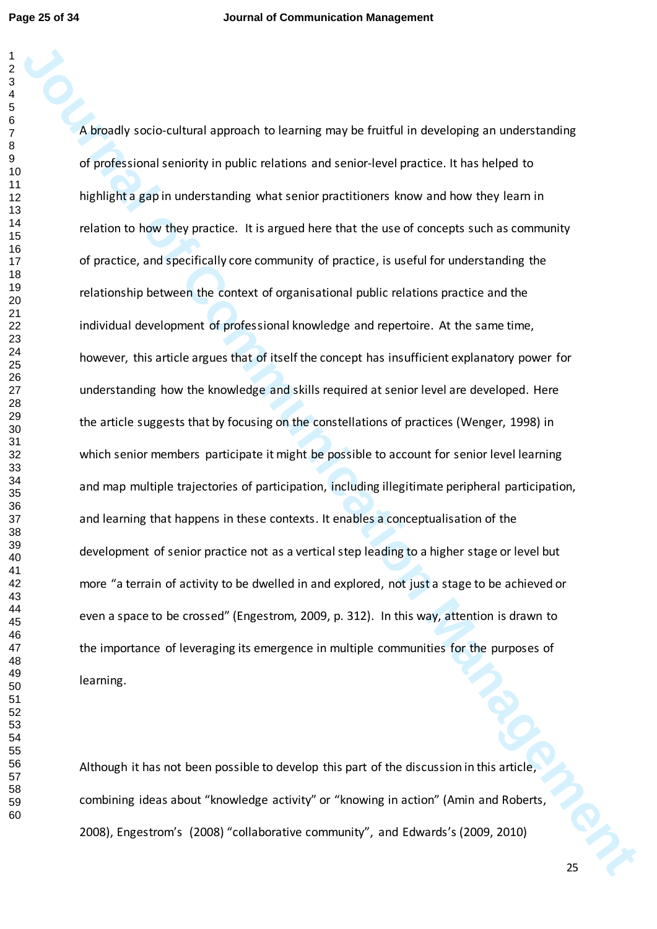A smoothy acclo-cultural approach to learning may be fruitful in developing an understanding<br>of profilesional senionty in public relations and senioc-level practice. It has helpes to<br>heighlights gas in understanding what s A broadly socio-cultural approach to learning may be fruitful in developing an understanding of professional seniority in public relations and senior-level practice. It has helped to highlight a gap in understanding what senior practitioners know and how they learn in relation to how they practice. It is argued here that the use of concepts such as community of practice, and specifically core community of practice, is useful for understanding the relationship between the context of organisational public relations practice and the individual development of professional knowledge and repertoire. At the same time, however, this article argues that of itself the concept has insufficient explanatory power for understanding how the knowledge and skills required at senior level are developed. Here the article suggests that by focusing on the constellations of practices (Wenger, 1998) in which senior members participate it might be possible to account for senior level learning and map multiple trajectories of participation, including illegitimate peripheral participation, and learning that happens in these contexts. It enables a conceptualisation of the development of senior practice not as a vertical step leading to a higher stage or level but more "a terrain of activity to be dwelled in and explored, not just a stage to be achieved or even a space to be crossed" (Engestrom, 2009, p. 312). In this way, attention is drawn to the importance of leveraging its emergence in multiple communities for the purposes of learning.

Although it has not been possible to develop this part of the discussion in this article, combining ideas about "knowledge activity" or "knowing in action" (Amin and Roberts, 2008), Engestrom's (2008) "collaborative community", and Edwards's (2009, 2010)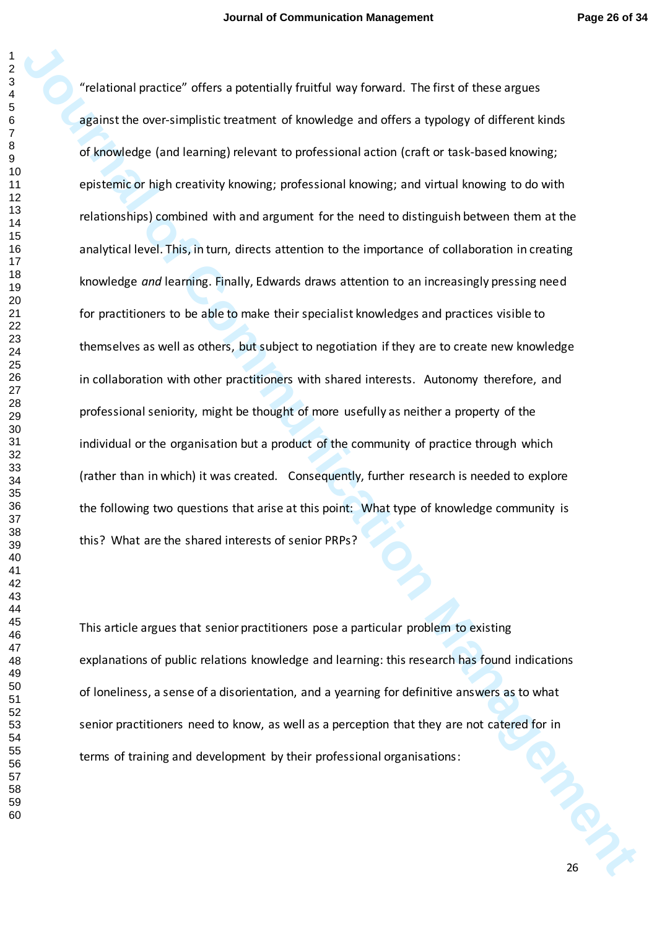Traintend practice" offers a protentially fruitful way forward. The first of these corpuss<br>against the core simulation terminal bullend order of the state and the state bullend trained and knowledge tend terminal protestio "relational practice" offers a potentially fruitful way forward. The first of these argues against the over-simplistic treatment of knowledge and offers a typology of different kinds of knowledge (and learning) relevant to professional action (craft or task-based knowing; epistemic or high creativity knowing; professional knowing; and virtual knowing to do with relationships) combined with and argument for the need to distinguish between them at the analytical level. This, in turn, directs attention to the importance of collaboration in creating knowledge *and* learning. Finally, Edwards draws attention to an increasingly pressing need for practitioners to be able to make their specialist knowledges and practices visible to themselves as well as others, but subject to negotiation if they are to create new knowledge in collaboration with other practitioners with shared interests. Autonomy therefore, and professional seniority, might be thought of more usefully as neither a property of the individual or the organisation but a product of the community of practice through which (rather than in which) it was created. Consequently, further research is needed to explore the following two questions that arise at this point: What type of knowledge community is this? What are the shared interests of senior PRPs?

This article argues that senior practitioners pose a particular problem to existing explanations of public relations knowledge and learning: this research has found indications of loneliness, a sense of a disorientation, and a yearning for definitive answers as to what senior practitioners need to know, as well as a perception that they are not catered for in terms of training and development by their professional organisations: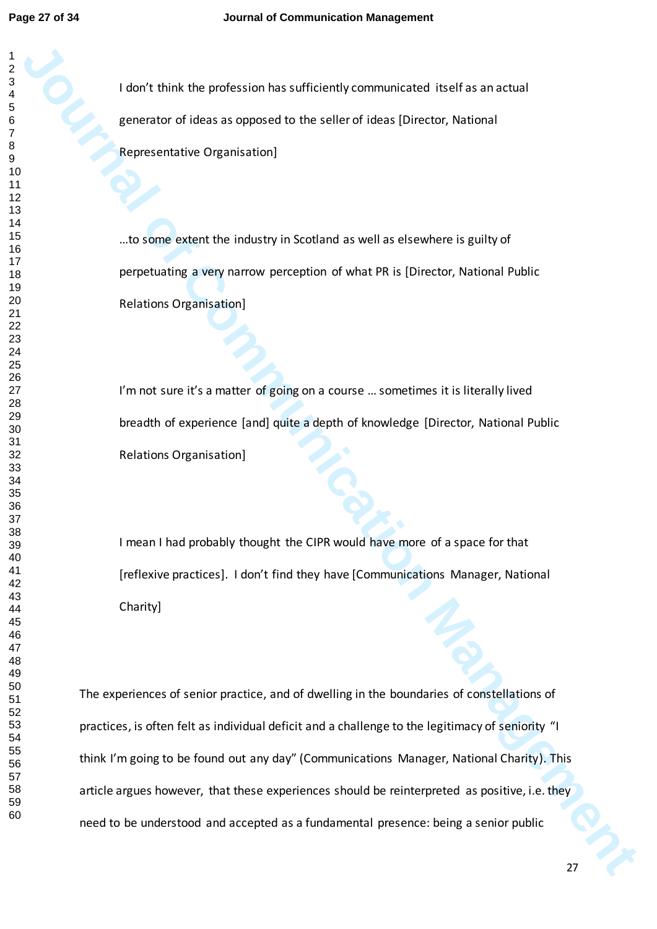I don't think the profession has sufficiently communicated itself as an actual generator of ideas as opposed to the seller of ideas [Director, National Representative Organisation]

…to some extent the industry in Scotland as well as elsewhere is guilty of perpetuating a very narrow perception of what PR is [Director, National Public Relations Organisation]

I'm not sure it's a matter of going on a course ... sometimes it is literally lived breadth of experience [and] quite a depth of knowledge [Director, National Public Relations Organisation]

I mean I had probably thought the CIPR would have more of a space for that [reflexive practices]. I don't find they have [Communications Manager, National Charity]

**Journal of the Communication Management Communicated Book Science (Section Management Of the Communication Management Of the Communication Management Of the Communication Management Communication Management Communication** The experiences of senior practice, and of dwelling in the boundaries of constellations of practices, is often felt as individual deficit and a challenge to the legitimacy of seniority "I think I'm going to be found out any day" (Communications Manager, National Charity). This article argues however, that these experiences should be reinterpreted as positive, i.e. they need to be understood and accepted as a fundamental presence: being a senior public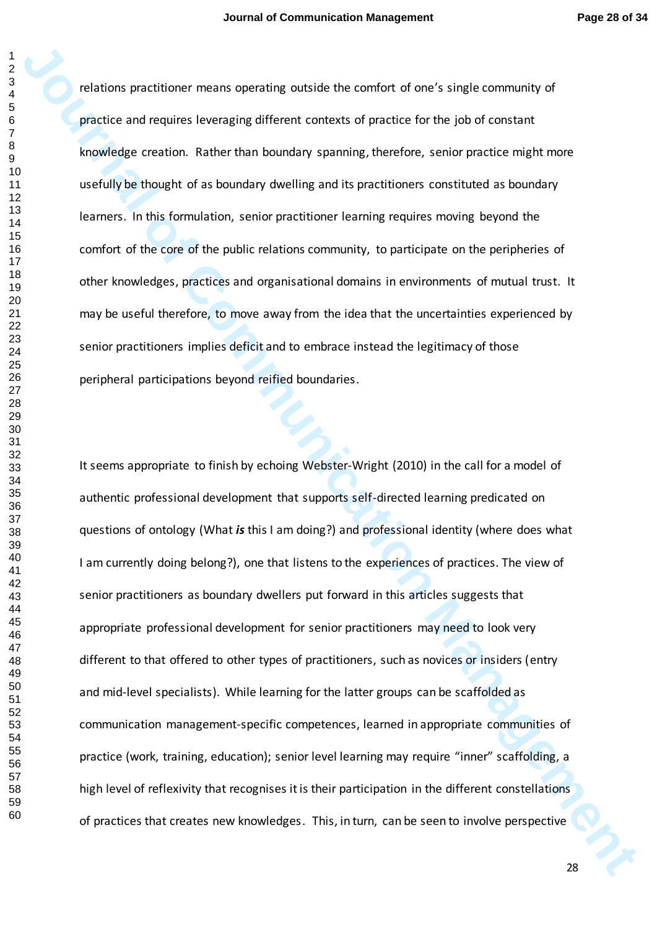relations practitioner means operating outside the comfort of one's single community of practice and requires leveraging different contexts of practice for the job of constant knowledge creation. Rather than boundary spanning, therefore, senior practice might more usefully be thought of as boundary dwelling and its practitioners constituted as boundary learners. In this formulation, senior practitioner learning requires moving beyond the comfort of the core of the public relations community, to participate on the peripheries of other knowledges, practices and organisational domains in environments of mutual trust. It may be useful therefore, to move away from the idea that the uncertainties experienced by senior practitioners implies deficit and to embrace instead the legitimacy of those peripheral participations beyond reified boundaries.

relations precisioner means operating existing the comfort of one's single community of<br>particle and requires levenging different contests of procedic for the job of constant<br>throughly extraction. Rather than banaday speci It seems appropriate to finish by echoing Webster-Wright (2010) in the call for a model of authentic professional development that supports self-directed learning predicated on questions of ontology (What *is* this I am doing?) and professional identity (where does what I am currently doing belong?), one that listens to the experiences of practices. The view of senior practitioners as boundary dwellers put forward in this articles suggests that appropriate professional development for senior practitioners may need to look very different to that offered to other types of practitioners, such as novices or insiders (entry and mid-level specialists). While learning for the latter groups can be scaffolded as communication management-specific competences, learned in appropriate communities of practice (work, training, education); senior level learning may require "inner" scaffolding, a high level of reflexivity that recognises it is their participation in the different constellations of practices that creates new knowledges. This, in turn, can be seen to involve perspective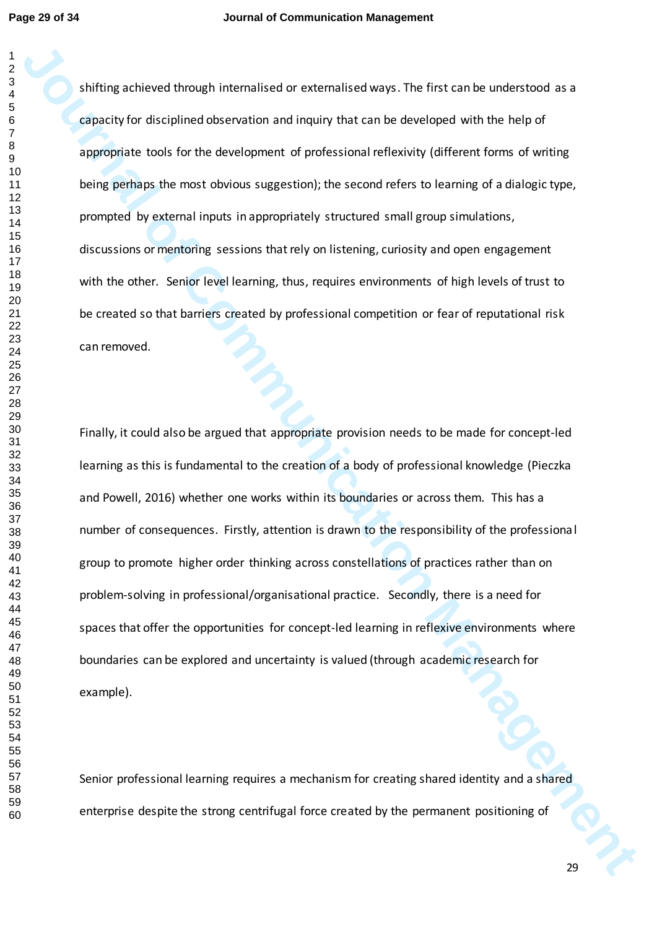shifting achieved through internalised or externalised ways. The first can be understood as a capacity for disciplined observation and inquiry that can be developed with the help of appropriate tools for the development of professional reflexivity (different forms of writing being perhaps the most obvious suggestion); the second refers to learning of a dialogic type, prompted by external inputs in appropriately structured small group simulations, discussions or mentoring sessions that rely on listening, curiosity and open engagement with the other. Senior level learning, thus, requires environments of high levels of trust to be created so that barriers created by professional competition or fear of reputational risk can removed.

**Johnny achieved through internalised or extensilised weys. The first can be understood is a<br>graphy for distribution descending in the rate developed with the help of<br>agencion to the for-development of professional reflexi** Finally, it could also be argued that appropriate provision needs to be made for concept-led learning as this is fundamental to the creation of a body of professional knowledge (Pieczka and Powell, 2016) whether one works within its boundaries or across them. This has a number of consequences. Firstly, attention is drawn to the responsibility of the professional group to promote higher order thinking across constellations of practices rather than on problem-solving in professional/organisational practice. Secondly, there is a need for spaces that offer the opportunities for concept-led learning in reflexive environments where boundaries can be explored and uncertainty is valued (through academic research for example).

Senior professional learning requires a mechanism for creating shared identity and a shared enterprise despite the strong centrifugal force created by the permanent positioning of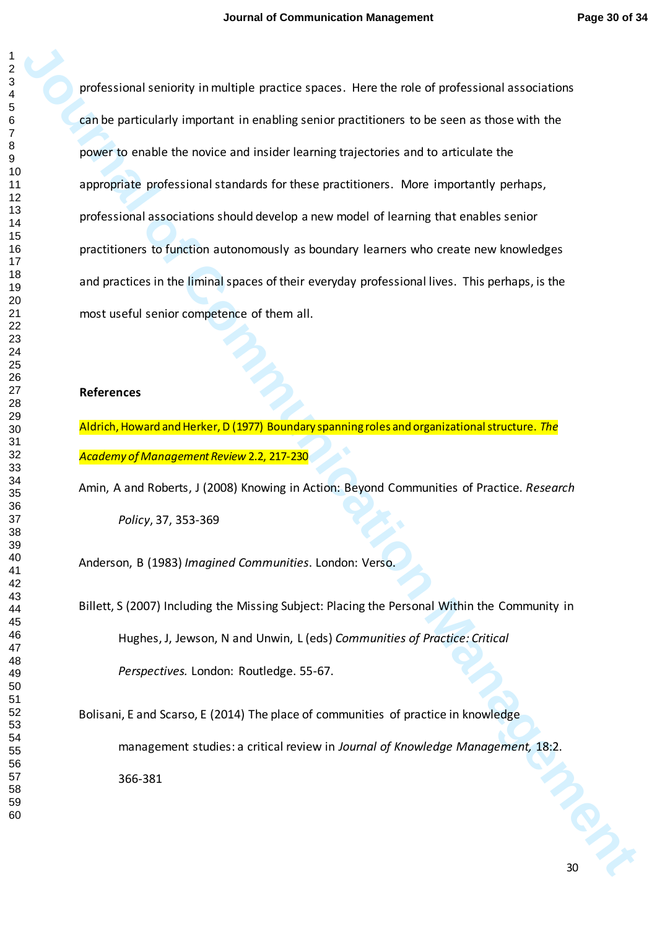professional sensionly in multiple practice spaces. Here the role of professional associations<br>
gradie professional impactant in consisting respect forming to secure as those with the<br>
Journal of Communication of Communica professional seniority in multiple practice spaces. Here the role of professional associations can be particularly important in enabling senior practitioners to be seen as those with the power to enable the novice and insider learning trajectories and to articulate the appropriate professional standards for these practitioners. More importantly perhaps, professional associations should develop a new model of learning that enables senior practitioners to function autonomously as boundary learners who create new knowledges and practices in the liminal spaces of their everyday professional lives. This perhaps, is the most useful senior competence of them all.

## **References**

Aldrich, Howard and Herker, D (1977) Boundary spanning roles and organizational structure. *The Academy of Management Review* 2.2, 217-230

Amin, A and Roberts, J (2008) Knowing in Action: Beyond Communities of Practice. *Research Policy*, 37, 353-369

Anderson, B (1983) *Imagined Communities*. London: Verso.

Billett, S (2007) Including the Missing Subject: Placing the Personal Within the Community in Hughes, J, Jewson, N and Unwin, L (eds) *Communities of Practice: Critical Perspectives.* London: Routledge. 55-67.

Bolisani, E and Scarso, E (2014) The place of communities of practice in knowledge management studies: a critical review in *Journal of Knowledge Management,* 18:2. 366-381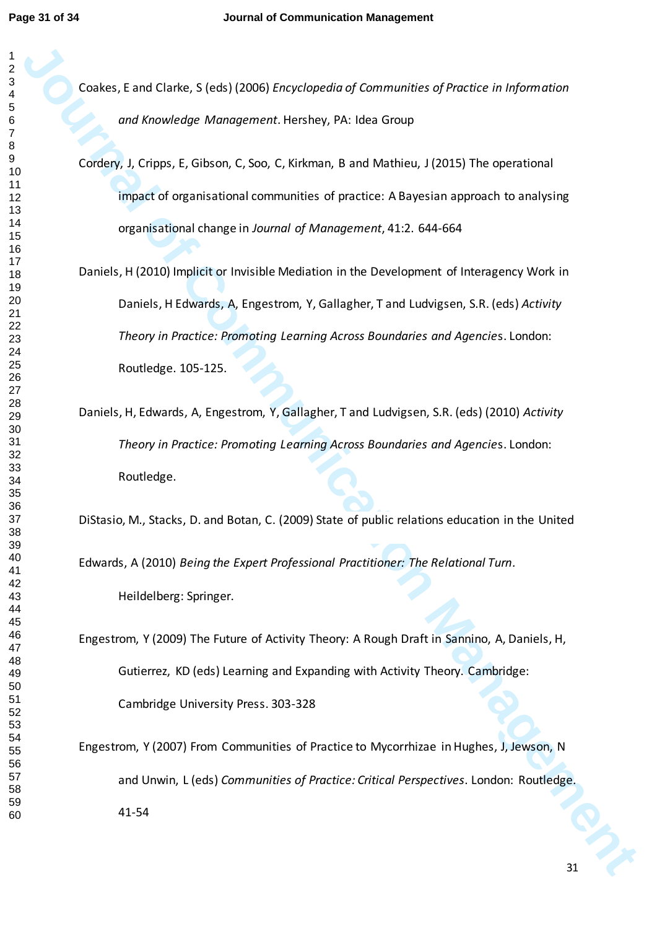Coakes, E and Clarke, S (eds) (2006) *Encyclopedia of Communities of Practice in Information and Knowledge Management*. Hershey, PA: Idea Group

Cordery, J, Cripps, E, Gibson, C, Soo, C, Kirkman, B and Mathieu, J (2015) The operational impact of organisational communities of practice: A Bayesian approach to analysing organisational change in *Journal of Management*, 41:2. 644-664

- Cockes, F and Clarko, S (eds) (2006) Encyclopedia of Communities of Practice in Information<br>
and Knowledge Management Hershey, PA: labo Group<br>
Confley, J. Cripps, E. Glisson, C. Soo, C. Folkman, B and Mathims, J. (2015) Th Daniels, H (2010) Implicit or Invisible Mediation in the Development of Interagency Work in Daniels, H Edwards, A, Engestrom, Y, Gallagher, T and Ludvigsen, S.R. (eds) *Activity Theory in Practice: Promoting Learning Across Boundaries and Agencie*s. London: Routledge. 105-125.
	- Daniels, H, Edwards, A, Engestrom, Y, Gallagher, T and Ludvigsen, S.R. (eds) (2010) *Activity Theory in Practice: Promoting Learning Across Boundaries and Agencie*s. London: Routledge.

DiStasio, M., Stacks, D. and Botan, C. (2009) State of public relations education in the United

Edwards, A (2010) *Being the Expert Professional Practitioner: The Relational Turn.*  Heildelberg: Springer.

Engestrom, Y (2009) The Future of Activity Theory: A Rough Draft in Sannino, A, Daniels, H, Gutierrez, KD (eds) Learning and Expanding with Activity Theory. Cambridge: Cambridge University Press. 303-328

Engestrom, Y (2007) From Communities of Practice to Mycorrhizae in Hughes, J, Jewson, N and Unwin, L (eds) *Communities of Practice: Critical Perspectives*. London: Routledge. 41-54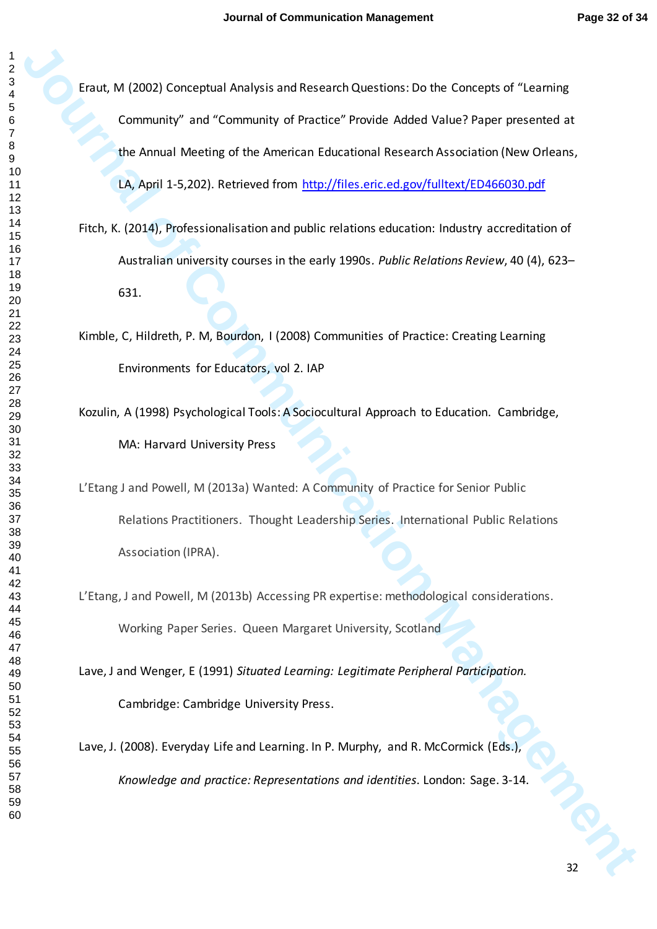**Journal Analysis and Recentric Analysis and Recentric Section Concepts of Technique Community" and "Community" Practicate Points Adact Value Piper preserved at the Amust Meeting of the Ametican Folurational Research Assoc** Eraut, M (2002) Conceptual Analysis and Research Questions: Do the Concepts of "Learning Community" and "Community of Practice" Provide Added Value? Paper presented at the Annual Meeting of the American Educational Research Association (New Orleans, LA, April 1-5,202). Retrieved from http://files.eric.ed.gov/fulltext/ED466030.pdf

- Fitch, K. (2014), Professionalisation and public relations education: Industry accreditation of Australian university courses in the early 1990s*. Public Relations Review*, 40 (4), 623– 631.
- Kimble, C, Hildreth, P. M, Bourdon, I (2008) Communities of Practice: Creating Learning Environments for Educators, vol 2. IAP
- Kozulin, A (1998) Psychological Tools: A Sociocultural Approach to Education. Cambridge, MA: Harvard University Press
- L'Etang J and Powell, M (2013a) Wanted: A Community of Practice for Senior Public Relations Practitioners. Thought Leadership Series. International Public Relations Association (IPRA).
- L'Etang, J and Powell, M (2013b) Accessing PR expertise: methodological considerations. Working Paper Series. Queen Margaret University, Scotland
- Lave, J and Wenger, E (1991) *Situated Learning: Legitimate Peripheral Participation.* Cambridge: Cambridge University Press.
- Lave, J. (2008). Everyday Life and Learning. In P. Murphy, and R. McCormick (Eds.), *Knowledge and practice: Representations and identities*. London: Sage. 3-14.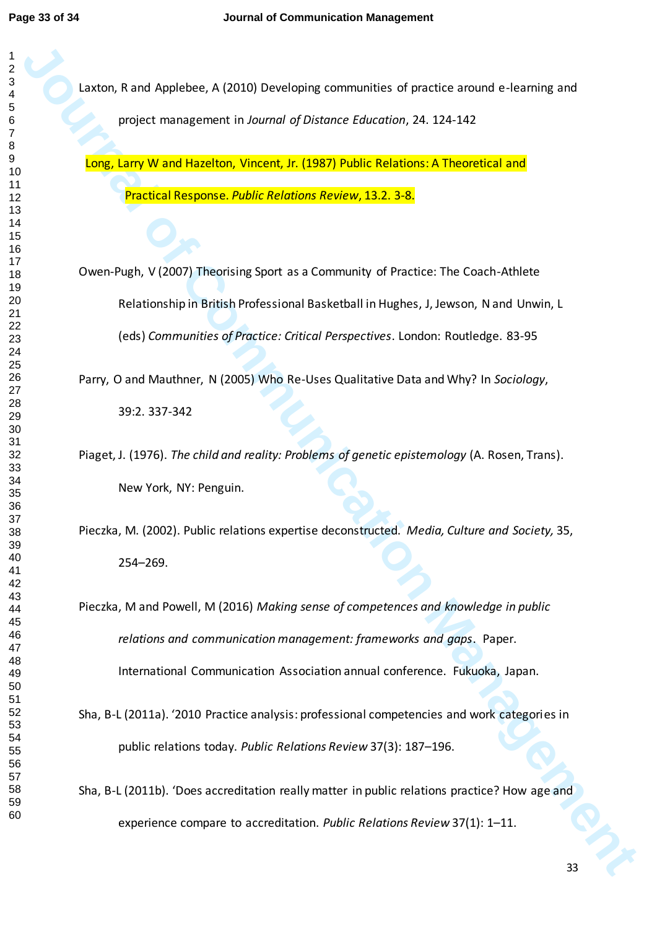Laxton, R and Applebee, A (2010) Developing communities of practice around e-learning and project management in *Journal of Distance Education*, 24. 124-142

Long, Larry W and Hazelton, Vincent, Jr. (1987) Public Relations: A Theoretical and Practical Response. *Public Relations Review*, 13.2. 3-8.

**Laxton, Rand Agalohee, A (2010)** Developing communides of practice atomic is clarining and<br> **Journal of Communication Management Communication** (*J.1982)* Public Belations: A Theoretical and<br> **Journal of Communication Man** Owen-Pugh, V (2007) Theorising Sport as a Community of Practice: The Coach-Athlete Relationship in British Professional Basketball in Hughes, J, Jewson, N and Unwin, L (eds) *Communities of Practice: Critical Perspectives*. London: Routledge. 83-95

Parry, O and Mauthner, N (2005) Who Re-Uses Qualitative Data and Why? In *Sociology*, 39:2. 337-342

Piaget, J. (1976). *The child and reality: Problems of genetic epistemology* (A. Rosen, Trans). New York, NY: Penguin.

Pieczka, M. (2002). Public relations expertise deconstructed. *Media, Culture and Society,* 35, –269.

Pieczka, M and Powell, M (2016) *Making sense of competences and knowledge in public relations and communication management: frameworks and gaps*. Paper. International Communication Association annual conference. Fukuoka, Japan.

Sha, B-L (2011a). '2010 Practice analysis: professional competencies and work categories in public relations today. *Public Relations Review* 37(3): 187–196.

Sha, B-L (2011b). 'Does accreditation really matter in public relations practice? How age and experience compare to accreditation. *Public Relations Review* 37(1): 1–11.